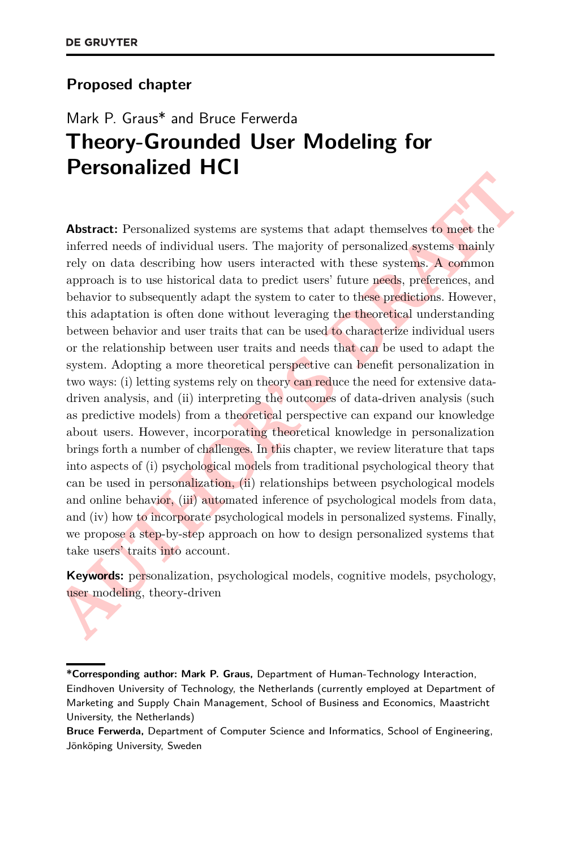#### **Proposed chapter**

# Mark P. Graus\* and Bruce Ferwerda **Theory-Grounded User Modeling for Personalized HCI**

**Abstract:** Personnalized systems are systems that adapt themselves to meet the inferred needs of individual users. The majority of personnalized systems. A common approach is to use historical data to predict users' futu **Abstract:** Personalized systems are systems that adapt themselves to meet the inferred needs of individual users. The majority of personalized systems mainly rely on data describing how users interacted with these systems. A common approach is to use historical data to predict users' future needs, preferences, and behavior to subsequently adapt the system to cater to these predictions. However, this adaptation is often done without leveraging the theoretical understanding between behavior and user traits that can be used to characterize individual users or the relationship between user traits and needs that can be used to adapt the system. Adopting a more theoretical perspective can benefit personalization in two ways: (i) letting systems rely on theory can reduce the need for extensive datadriven analysis, and (ii) interpreting the outcomes of data-driven analysis (such as predictive models) from a theoretical perspective can expand our knowledge about users. However, incorporating theoretical knowledge in personalization brings forth a number of challenges. In this chapter, we review literature that taps into aspects of (i) psychological models from traditional psychological theory that can be used in personalization, (ii) relationships between psychological models and online behavior, (iii) automated inference of psychological models from data, and (iv) how to incorporate psychological models in personalized systems. Finally, we propose a step-by-step approach on how to design personalized systems that take users' traits into account.

**Keywords:** personalization, psychological models, cognitive models, psychology, user modeling, theory-driven

**<sup>\*</sup>Corresponding author: Mark P. Graus,** Department of Human-Technology Interaction, Eindhoven University of Technology, the Netherlands (currently employed at Department of Marketing and Supply Chain Management, School of Business and Economics, Maastricht University, the Netherlands)

**Bruce Ferwerda,** Department of Computer Science and Informatics, School of Engineering, Jönköping University, Sweden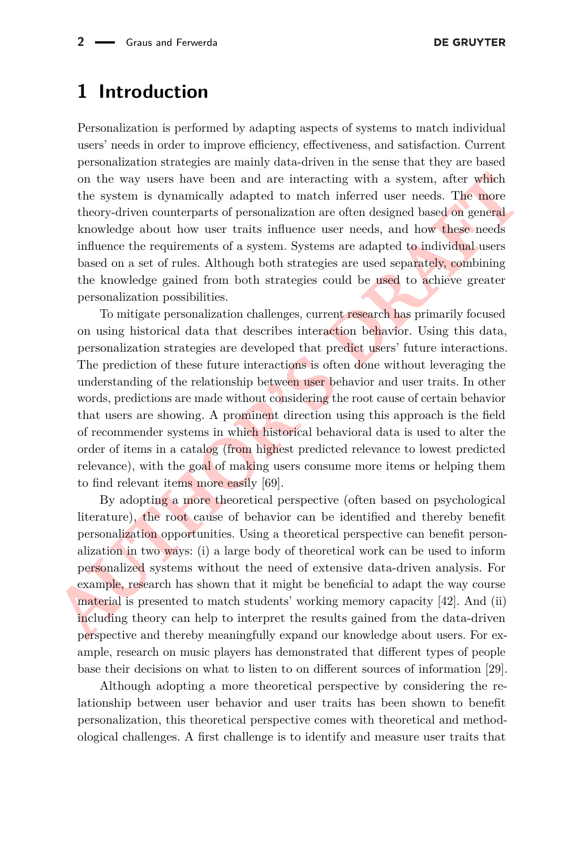## **1 Introduction**

Personalization is performed by adapting aspects of systems to match individual users' needs in order to improve efficiency, effectiveness, and satisfaction. Current personalization strategies are mainly data-driven in the sense that they are based on the way users have been and are interacting with a system, after which the system is dynamically adapted to match inferred user needs. The more theory-driven counterparts of personalization are often designed based on general knowledge about how user traits influence user needs, and how these needs influence the requirements of a system. Systems are adapted to individual users based on a set of rules. Although both strategies are used separately, combining the knowledge gained from both strategies could be used to achieve greater personalization possibilities.

on the way users have been and are interacting with a system, after which the system is dynamically adapted to match inferred user needs. The more theory-diven counterparts of personalization are often designed based on g To mitigate personalization challenges, current research has primarily focused on using historical data that describes interaction behavior. Using this data, personalization strategies are developed that predict users' future interactions. The prediction of these future interactions is often done without leveraging the understanding of the relationship between user behavior and user traits. In other words, predictions are made without considering the root cause of certain behavior that users are showing. A prominent direction using this approach is the field of recommender systems in which historical behavioral data is used to alter the order of items in a catalog (from highest predicted relevance to lowest predicted relevance), with the goal of making users consume more items or helping them to find relevant items more easily [69].

By adopting a more theoretical perspective (often based on psychological literature), the root cause of behavior can be identified and thereby benefit personalization opportunities. Using a theoretical perspective can benefit personalization in two ways: (i) a large body of theoretical work can be used to inform personalized systems without the need of extensive data-driven analysis. For example, research has shown that it might be beneficial to adapt the way course material is presented to match students' working memory capacity [\[42\]](#page-26-0). And (ii) including theory can help to interpret the results gained from the data-driven perspective and thereby meaningfully expand our knowledge about users. For example, research on music players has demonstrated that different types of people base their decisions on what to listen to on different sources of information [\[29\]](#page-25-0).

Although adopting a more theoretical perspective by considering the relationship between user behavior and user traits has been shown to benefit personalization, this theoretical perspective comes with theoretical and methodological challenges. A first challenge is to identify and measure user traits that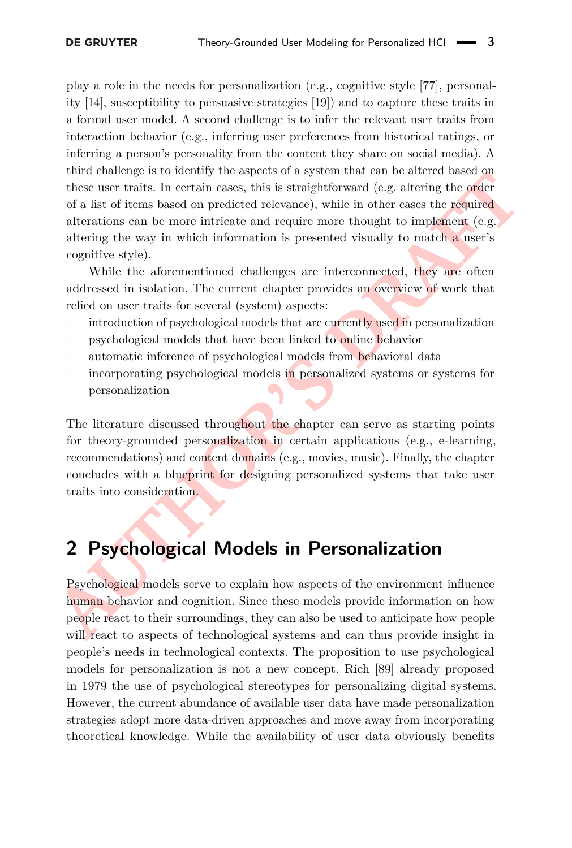From transmission on a space of a system transmit time transmit in the ance to assume that the suser traits. In certain cases, this is straightforward (e.g. altering the order of a list of items based on predicted relevanc play a role in the needs for personalization (e.g., cognitive style [\[77\]](#page-28-1), personality [\[14\]](#page-24-0), susceptibility to persuasive strategies [\[19\]](#page-25-1)) and to capture these traits in a formal user model. A second challenge is to infer the relevant user traits from interaction behavior (e.g., inferring user preferences from historical ratings, or inferring a person's personality from the content they share on social media). A third challenge is to identify the aspects of a system that can be altered based on these user traits. In certain cases, this is straightforward (e.g. altering the order of a list of items based on predicted relevance), while in other cases the required alterations can be more intricate and require more thought to implement (e.g. altering the way in which information is presented visually to match a user's cognitive style).

While the aforementioned challenges are interconnected, they are often addressed in isolation. The current chapter provides an overview of work that relied on user traits for several (system) aspects:

- introduction of psychological models that are currently used in personalization
- psychological models that have been linked to online behavior
- automatic inference of psychological models from behavioral data
- incorporating psychological models in personalized systems or systems for personalization

The literature discussed throughout the chapter can serve as starting points for theory-grounded personalization in certain applications (e.g., e-learning, recommendations) and content domains (e.g., movies, music). Finally, the chapter concludes with a blueprint for designing personalized systems that take user traits into consideration.

## **2 Psychological Models in Personalization**

Psychological models serve to explain how aspects of the environment influence human behavior and cognition. Since these models provide information on how people react to their surroundings, they can also be used to anticipate how people will react to aspects of technological systems and can thus provide insight in people's needs in technological contexts. The proposition to use psychological models for personalization is not a new concept. Rich [\[89\]](#page-29-0) already proposed in 1979 the use of psychological stereotypes for personalizing digital systems. However, the current abundance of available user data have made personalization strategies adopt more data-driven approaches and move away from incorporating theoretical knowledge. While the availability of user data obviously benefits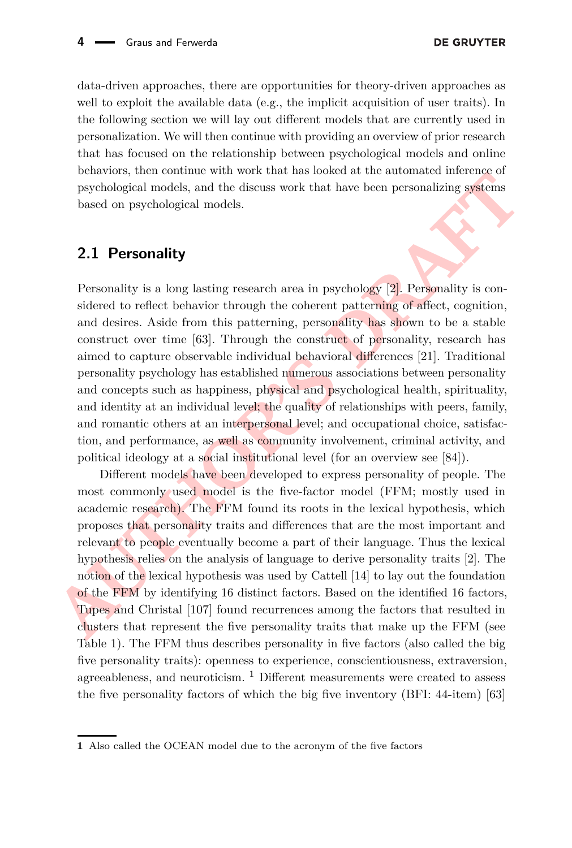data-driven approaches, there are opportunities for theory-driven approaches as well to exploit the available data (e.g., the implicit acquisition of user traits). In the following section we will lay out different models that are currently used in personalization. We will then continue with providing an overview of prior research that has focused on the relationship between psychological models and online behaviors, then continue with work that has looked at the automated inference of psychological models, and the discuss work that have been personalizing systems based on psychological models.

### <span id="page-3-1"></span>**2.1 Personality**

constants, une controllar wave final instance when the second active measure instance interaction psychological models, and the discuss work that have been personalizing systems<br>based on psychological models. And the discu Personality is a long lasting research area in psychology [2]. Personality is considered to reflect behavior through the coherent patterning of affect, cognition, and desires. Aside from this patterning, personality has shown to be a stable construct over time [\[63\]](#page-27-0). Through the construct of personality, research has aimed to capture observable individual behavioral differences [21]. Traditional personality psychology has established numerous associations between personality and concepts such as happiness, physical and psychological health, spirituality, and identity at an individual level; the quality of relationships with peers, family, and romantic others at an interpersonal level; and occupational choice, satisfaction, and performance, as well as community involvement, criminal activity, and political ideology at a social institutional level (for an overview see [\[84\]](#page-29-1)).

Different models have been developed to express personality of people. The most commonly used model is the five-factor model (FFM; mostly used in academic research). The FFM found its roots in the lexical hypothesis, which proposes that personality traits and differences that are the most important and relevant to people eventually become a part of their language. Thus the lexical hypothesis relies on the analysis of language to derive personality traits [\[2\]](#page-24-1). The notion of the lexical hypothesis was used by Cattell [\[14\]](#page-24-0) to lay out the foundation of the FFM by identifying 16 distinct factors. Based on the identified 16 factors, Tupes and Christal [107] found recurrences among the factors that resulted in clusters that represent the five personality traits that make up the FFM (see Table [1\)](#page-4-0). The FFM thus describes personality in five factors (also called the big five personality traits): openness to experience, conscientiousness, extraversion, agreeableness, and neuroticism.  $1$  Different measurements were created to assess the five personality factors of which the big five inventory (BFI: 44-item) [\[63\]](#page-27-0)

<span id="page-3-0"></span>**<sup>1</sup>** Also called the OCEAN model due to the acronym of the five factors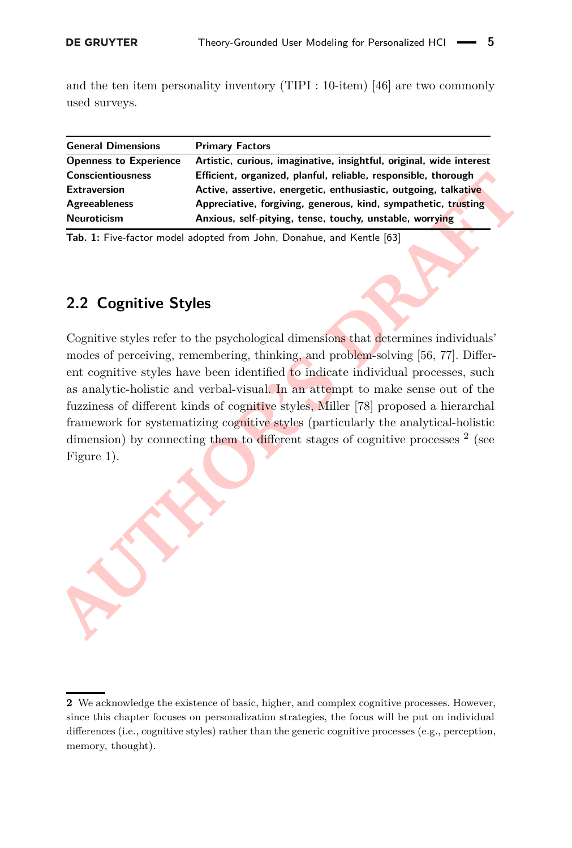and the ten item personality inventory (TIPI : 10-item) [\[46\]](#page-26-1) are two commonly used surveys.

<span id="page-4-0"></span>

| <b>General Dimensions</b>     | <b>Primary Factors</b>                                              |
|-------------------------------|---------------------------------------------------------------------|
| <b>Openness to Experience</b> | Artistic, curious, imaginative, insightful, original, wide interest |
| <b>Conscientiousness</b>      | Efficient, organized, planful, reliable, responsible, thorough      |
| <b>Extraversion</b>           | Active, assertive, energetic, enthusiastic, outgoing, talkative     |
| <b>Agreeableness</b>          | Appreciative, forgiving, generous, kind, sympathetic, trusting      |
| <b>Neuroticism</b>            | Anxious, self-pitying, tense, touchy, unstable, worrying            |

**Tab. 1:** Five-factor model adopted from John, Donahue, and Kentle [63]

## **2.2 Cognitive Styles**

Considerations and the efficient, organized, plantic, regarding the entropy and the entropy and the entropy and the entropy and the entropy and the entropy and the entropy and the entropy and the entropy and the entropy an Cognitive styles refer to the psychological dimensions that determines individuals' modes of perceiving, remembering, thinking, and problem-solving [56, 77]. Different cognitive styles have been identified to indicate individual processes, such as analytic-holistic and verbal-visual. In an attempt to make sense out of the fuzziness of different kinds of cognitive styles, Miller [\[78\]](#page-28-2) proposed a hierarchal framework for systematizing cognitive styles (particularly the analytical-holistic dimension) by connecting them to different stages of cognitive processes <sup>[2](#page-4-1)</sup> (see Figure 1).

<span id="page-4-1"></span>**<sup>2</sup>** We acknowledge the existence of basic, higher, and complex cognitive processes. However, since this chapter focuses on personalization strategies, the focus will be put on individual differences (i.e., cognitive styles) rather than the generic cognitive processes (e.g., perception, memory, thought).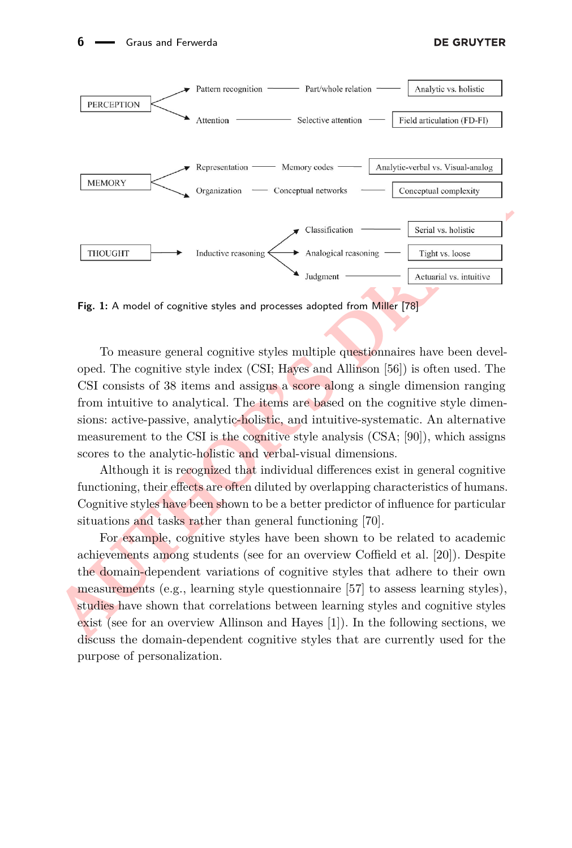<span id="page-5-0"></span>

Fig. 1: A model of cognitive styles and processes adopted from Miller [78]

To measure general cognitive styles multiple questionnaires have been developed. The cognitive style index (CSI; Hayes and Allinson [\[56\]](#page-27-1)) is often used. The CSI consists of 38 items and assigns a score along a single dimension ranging from intuitive to analytical. The items are based on the cognitive style dimensions: active-passive, analytic-holistic, and intuitive-systematic. An alternative measurement to the CSI is the cognitive style analysis (CSA; [\[90\]](#page-29-2)), which assigns scores to the analytic-holistic and verbal-visual dimensions.

Although it is recognized that individual differences exist in general cognitive functioning, their effects are often diluted by overlapping characteristics of humans. Cognitive styles have been shown to be a better predictor of influence for particular situations and tasks rather than general functioning [\[70\]](#page-28-3).

For example, cognitive styles have been shown to be related to academic achievements among students (see for an overview Coffield et al. [\[20\]](#page-25-3)). Despite the domain-dependent variations of cognitive styles that adhere to their own measurements (e.g., learning style questionnaire [\[57\]](#page-27-2) to assess learning styles), studies have shown that correlations between learning styles and cognitive styles exist (see for an overview Allinson and Hayes [1]). In the following sections, we discuss the domain-dependent cognitive styles that are currently used for the purpose of personalization.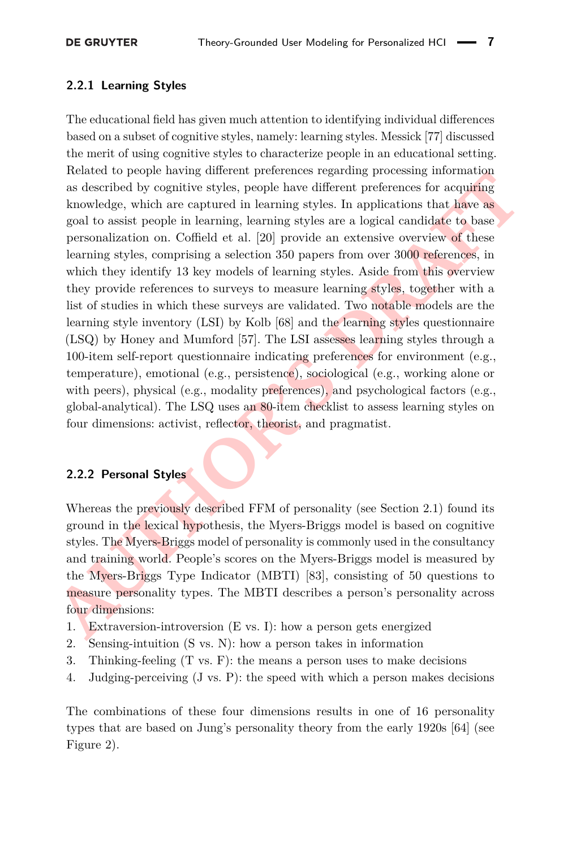#### **2.2.1 Learning Styles**

reatative or propagation and particular services respectively. Books as described by cognitive styles, people have different preferences for acquiring knowledge, which are captured in learning styles. In applications that The educational field has given much attention to identifying individual differences based on a subset of cognitive styles, namely: learning styles. Messick [\[77\]](#page-28-1) discussed the merit of using cognitive styles to characterize people in an educational setting. Related to people having different preferences regarding processing information as described by cognitive styles, people have different preferences for acquiring knowledge, which are captured in learning styles. In applications that have as goal to assist people in learning, learning styles are a logical candidate to base personalization on. Coffield et al. [\[20\]](#page-25-3) provide an extensive overview of these learning styles, comprising a selection 350 papers from over 3000 references, in which they identify 13 key models of learning styles. Aside from this overview they provide references to surveys to measure learning styles, together with a list of studies in which these surveys are validated. Two notable models are the learning style inventory (LSI) by Kolb [\[68\]](#page-28-4) and the learning styles questionnaire (LSQ) by Honey and Mumford [\[57\]](#page-27-2). The LSI assesses learning styles through a 100-item self-report questionnaire indicating preferences for environment (e.g., temperature), emotional (e.g., persistence), sociological (e.g., working alone or with peers), physical (e.g., modality preferences), and psychological factors (e.g., global-analytical). The LSQ uses an 80-item checklist to assess learning styles on four dimensions: activist, reflector, theorist, and pragmatist.

#### **2.2.2 Personal Styles**

Whereas the previously described FFM of personality (see Section [2.1\)](#page-3-1) found its ground in the lexical hypothesis, the Myers-Briggs model is based on cognitive styles. The Myers-Briggs model of personality is commonly used in the consultancy and training world. People's scores on the Myers-Briggs model is measured by the Myers-Briggs Type Indicator (MBTI) [83], consisting of 50 questions to measure personality types. The MBTI describes a person's personality across four dimensions:

- 1. Extraversion-introversion (E vs. I): how a person gets energized
- 2. Sensing-intuition (S vs. N): how a person takes in information
- 3. Thinking-feeling (T vs. F): the means a person uses to make decisions
- 4. Judging-perceiving (J vs. P): the speed with which a person makes decisions

The combinations of these four dimensions results in one of 16 personality types that are based on Jung's personality theory from the early 1920s [\[64\]](#page-28-5) (see Figure [2\)](#page-7-0).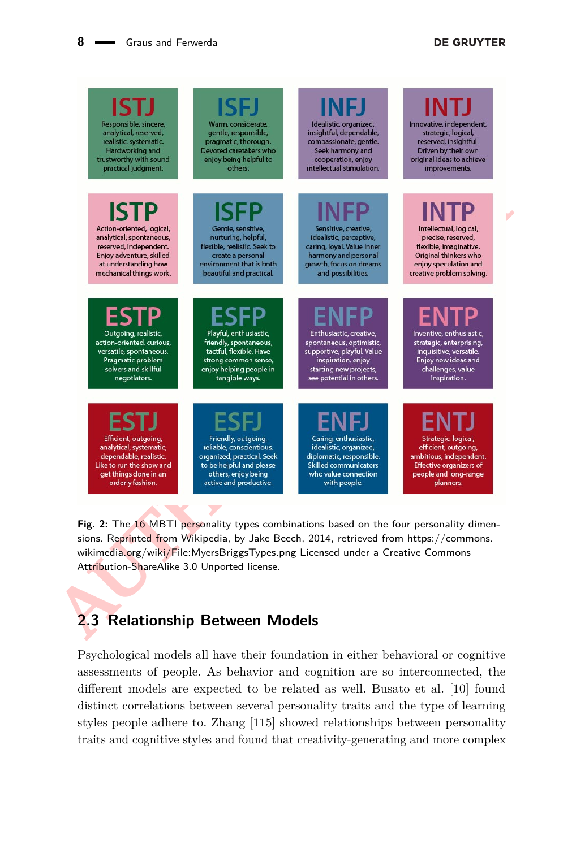#### **DE GRUYTER**

<span id="page-7-0"></span>

**Fig. 2:** The 16 MBTI personality types combinations based on the four personality dimensions. Reprinted from Wikipedia, by Jake Beech, 2014, retrieved from [https://commons.](https://commons.wikimedia.org/wiki/File:MyersBriggsTypes.png) wikimedia.org/wiki/File:MyersBriggsTypes.png Licensed under a Creative Commons Attribution-ShareAlike 3.0 Unported license.

## **2.3 Relationship Between Models**

Psychological models all have their foundation in either behavioral or cognitive assessments of people. As behavior and cognition are so interconnected, the different models are expected to be related as well. Busato et al. [\[10\]](#page-24-3) found distinct correlations between several personality traits and the type of learning styles people adhere to. Zhang [\[115\]](#page-31-0) showed relationships between personality traits and cognitive styles and found that creativity-generating and more complex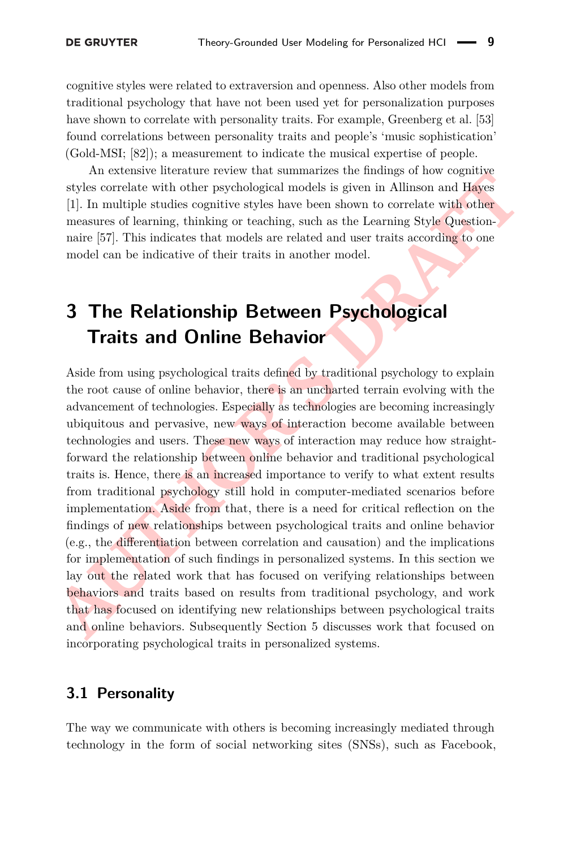cognitive styles were related to extraversion and openness. Also other models from traditional psychology that have not been used yet for personalization purposes have shown to correlate with personality traits. For example, Greenberg et al. [\[53\]](#page-27-3) found correlations between personality traits and people's 'music sophistication' (Gold-MSI; [\[82\]](#page-29-4)); a measurement to indicate the musical expertise of people.

An extensive literature review that summarizes the findings of how cognitive styles correlate with other psychological models is given in Allinson and Hayes [\[1\]](#page-24-2). In multiple studies cognitive styles have been shown to correlate with other measures of learning, thinking or teaching, such as the Learning Style Questionnaire [\[57\]](#page-27-2). This indicates that models are related and user traits according to one model can be indicative of their traits in another model.

# <span id="page-8-0"></span>**3 The Relationship Between Psychological Traits and Online Behavior**

Automation extends the relationship between mains are mainly to the vegalation of the relationship in this condition in the physic correlate with other psychological models is given in Allinson and Hayes [1]. In multiple s Aside from using psychological traits defined by traditional psychology to explain the root cause of online behavior, there is an uncharted terrain evolving with the advancement of technologies. Especially as technologies are becoming increasingly ubiquitous and pervasive, new ways of interaction become available between technologies and users. These new ways of interaction may reduce how straightforward the relationship between online behavior and traditional psychological traits is. Hence, there is an increased importance to verify to what extent results from traditional psychology still hold in computer-mediated scenarios before implementation. Aside from that, there is a need for critical reflection on the findings of new relationships between psychological traits and online behavior (e.g., the differentiation between correlation and causation) and the implications for implementation of such findings in personalized systems. In this section we lay out the related work that has focused on verifying relationships between behaviors and traits based on results from traditional psychology, and work that has focused on identifying new relationships between psychological traits and online behaviors. Subsequently Section 5 discusses work that focused on incorporating psychological traits in personalized systems.

## **3.1 Personality**

The way we communicate with others is becoming increasingly mediated through technology in the form of social networking sites (SNSs), such as Facebook,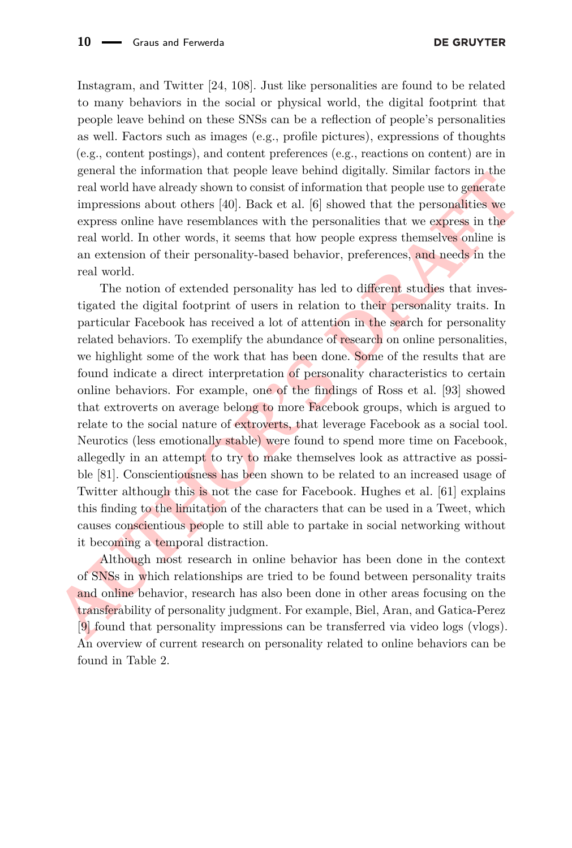Instagram, and Twitter [\[24,](#page-25-4) [108\]](#page-30-1). Just like personalities are found to be related to many behaviors in the social or physical world, the digital footprint that people leave behind on these SNSs can be a reflection of people's personalities as well. Factors such as images (e.g., profile pictures), expressions of thoughts (e.g., content postings), and content preferences (e.g., reactions on content) are in general the information that people leave behind digitally. Similar factors in the real world have already shown to consist of information that people use to generate impressions about others [\[40\]](#page-26-2). Back et al. [\[6\]](#page-24-4) showed that the personalities we express online have resemblances with the personalities that we express in the real world. In other words, it seems that how people express themselves online is an extension of their personality-based behavior, preferences, and needs in the real world.

grada to minimization and perips race being the reaction of the state of the state of state of state of the terms of the consist of information that person solutions we express on<br>the terms consist of information that per The notion of extended personality has led to different studies that investigated the digital footprint of users in relation to their personality traits. In particular Facebook has received a lot of attention in the search for personality related behaviors. To exemplify the abundance of research on online personalities, we highlight some of the work that has been done. Some of the results that are found indicate a direct interpretation of personality characteristics to certain online behaviors. For example, one of the findings of Ross et al. [\[93\]](#page-29-5) showed that extroverts on average belong to more Facebook groups, which is argued to relate to the social nature of extroverts, that leverage Facebook as a social tool. Neurotics (less emotionally stable) were found to spend more time on Facebook, allegedly in an attempt to try to make themselves look as attractive as possible [81]. Conscientiousness has been shown to be related to an increased usage of Twitter although this is not the case for Facebook. Hughes et al. [\[61\]](#page-27-4) explains this finding to the limitation of the characters that can be used in a Tweet, which causes conscientious people to still able to partake in social networking without it becoming a temporal distraction.

Although most research in online behavior has been done in the context of SNSs in which relationships are tried to be found between personality traits and online behavior, research has also been done in other areas focusing on the transferability of personality judgment. For example, Biel, Aran, and Gatica-Perez [9] found that personality impressions can be transferred via video logs (vlogs). An overview of current research on personality related to online behaviors can be found in Table [2.](#page-10-0)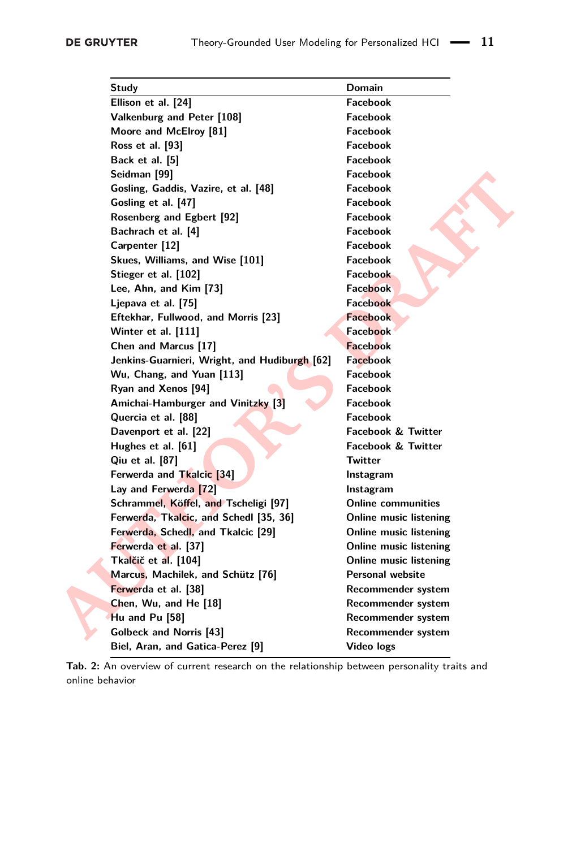<span id="page-10-0"></span>

| Study                                         | <b>Domain</b>                 |
|-----------------------------------------------|-------------------------------|
| Ellison et al. [24]                           | <b>Facebook</b>               |
| Valkenburg and Peter [108]                    | <b>Facebook</b>               |
| Moore and McElroy [81]                        | <b>Facebook</b>               |
| Ross et al. [93]                              | Facebook                      |
| Back et al. [5]                               | <b>Facebook</b>               |
| Seidman [99]                                  | <b>Facebook</b>               |
| Gosling, Gaddis, Vazire, et al. [48]          | Facebook                      |
| Gosling et al. [47]                           | <b>Facebook</b>               |
| Rosenberg and Egbert [92]                     | Facebook                      |
| Bachrach et al. [4]                           | <b>Facebook</b>               |
| Carpenter [12]                                | <b>Facebook</b>               |
| Skues, Williams, and Wise [101]               | Facebook                      |
| Stieger et al. [102]                          | <b>Facebook</b>               |
| Lee, Ahn, and Kim [73]                        | <b>Facebook</b>               |
| Ljepava et al. [75]                           | <b>Facebook</b>               |
| Eftekhar, Fullwood, and Morris [23]           | <b>Facebook</b>               |
| Winter et al. [111]                           | <b>Facebook</b>               |
| Chen and Marcus [17]                          | <b>Facebook</b>               |
| Jenkins-Guarnieri, Wright, and Hudiburgh [62] | <b>Facebook</b>               |
| Wu, Chang, and Yuan [113]                     | <b>Facebook</b>               |
| Ryan and Xenos [94]                           | <b>Facebook</b>               |
| Amichai-Hamburger and Vinitzky [3]            | Facebook                      |
| Quercia et al. [88]                           | Facebook                      |
| Davenport et al. [22]                         | <b>Facebook &amp; Twitter</b> |
| Hughes et al. [61]                            | <b>Facebook &amp; Twitter</b> |
| Qiu et al. [87]                               | Twitter                       |
| Ferwerda and Tkalcic [34]                     | Instagram                     |
| Lay and Ferwerda [72]                         | Instagram                     |
| Schrammel, Köffel, and Tscheligi [97]         | <b>Online communities</b>     |
| Ferwerda, Tkalcic, and Schedl [35, 36]        | Online music listening        |
| Ferwerda, Schedl, and Tkalcic [29]            | Online music listening        |
| Ferwerda et al. [37]                          | Online music listening        |
| Tkalčič et al. [104]                          | Online music listening        |
| Marcus, Machilek, and Schütz [76]             | <b>Personal website</b>       |
| Ferwerda et al. [38]                          | Recommender system            |
| Chen, Wu, and He [18]                         | Recommender system            |
| Hu and Pu [58]                                | Recommender system            |
| <b>Golbeck and Norris [43]</b>                | Recommender system            |
| Biel, Aran, and Gatica-Perez [9]              | Video logs                    |
|                                               |                               |

**Tab. 2:** An overview of current research on the relationship between personality traits and online behavior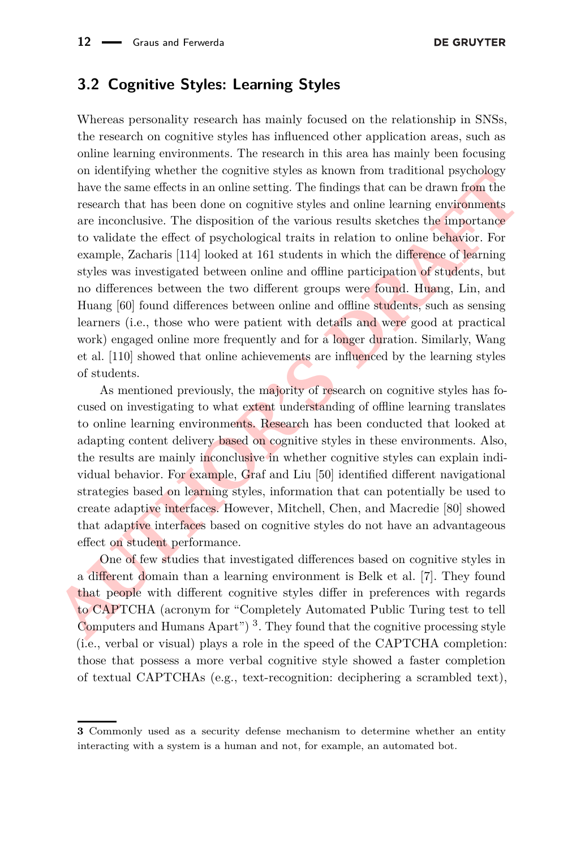### **3.2 Cognitive Styles: Learning Styles**

on acourarying wateracy can togentric styse as known notic transformal psychology<br>have the same effects in an online setting. The findings that can be drawn from the<br>research that has been done on cognitive styles and onl Whereas personality research has mainly focused on the relationship in SNSs, the research on cognitive styles has influenced other application areas, such as online learning environments. The research in this area has mainly been focusing on identifying whether the cognitive styles as known from traditional psychology have the same effects in an online setting. The findings that can be drawn from the research that has been done on cognitive styles and online learning environments are inconclusive. The disposition of the various results sketches the importance to validate the effect of psychological traits in relation to online behavior. For example, Zacharis [\[114\]](#page-31-2) looked at 161 students in which the difference of learning styles was investigated between online and offline participation of students, but no differences between the two different groups were found. Huang, Lin, and Huang [\[60\]](#page-27-8) found differences between online and offline students, such as sensing learners (i.e., those who were patient with details and were good at practical work) engaged online more frequently and for a longer duration. Similarly, Wang et al. [\[110\]](#page-30-7) showed that online achievements are influenced by the learning styles of students.

As mentioned previously, the majority of research on cognitive styles has focused on investigating to what extent understanding of offline learning translates to online learning environments. Research has been conducted that looked at adapting content delivery based on cognitive styles in these environments. Also, the results are mainly inconclusive in whether cognitive styles can explain individual behavior. For example, Graf and Liu [50] identified different navigational strategies based on learning styles, information that can potentially be used to create adaptive interfaces. However, Mitchell, Chen, and Macredie [\[80\]](#page-28-10) showed that adaptive interfaces based on cognitive styles do not have an advantageous effect on student performance.

One of few studies that investigated differences based on cognitive styles in a different domain than a learning environment is Belk et al. [\[7\]](#page-24-10). They found that people with different cognitive styles differ in preferences with regards to CAPTCHA (acronym for "Completely Automated Public Turing test to tell Computers and Humans Apart")<sup>3</sup>. They found that the cognitive processing style (i.e., verbal or visual) plays a role in the speed of the CAPTCHA completion: those that possess a more verbal cognitive style showed a faster completion of textual CAPTCHAs (e.g., text-recognition: deciphering a scrambled text),

<span id="page-11-0"></span>**<sup>3</sup>** Commonly used as a security defense mechanism to determine whether an entity interacting with a system is a human and not, for example, an automated bot.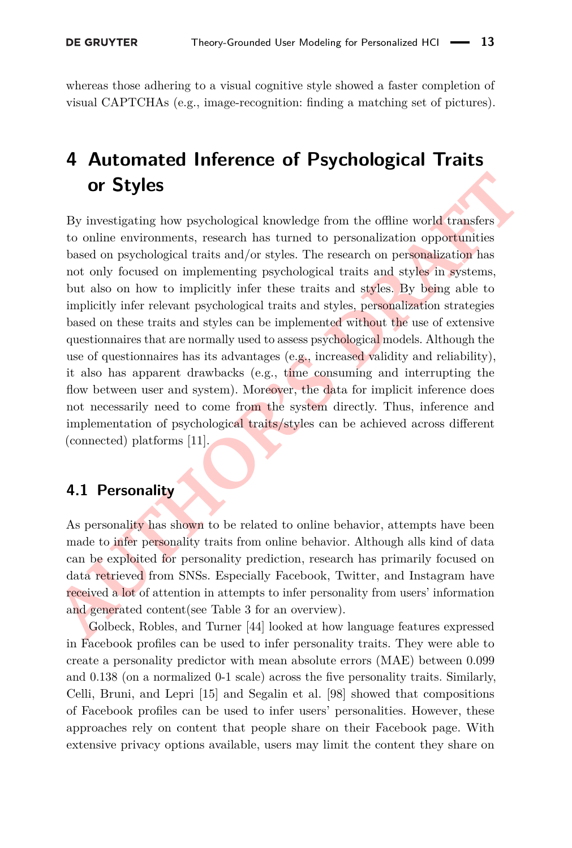whereas those adhering to a visual cognitive style showed a faster completion of visual CAPTCHAs (e.g., image-recognition: finding a matching set of pictures).

# <span id="page-12-0"></span>**4 Automated Inference of Psychological Traits or Styles**

The Strategonal Movemetric controllation in the section in the section of the section of the section of the section of the section of the section of properties based on psychological traits and/or styles. The research on p By investigating how psychological knowledge from the offline world transfers to online environments, research has turned to personalization opportunities based on psychological traits and/or styles. The research on personalization has not only focused on implementing psychological traits and styles in systems, but also on how to implicitly infer these traits and styles. By being able to implicitly infer relevant psychological traits and styles, personalization strategies based on these traits and styles can be implemented without the use of extensive questionnaires that are normally used to assess psychological models. Although the use of questionnaires has its advantages (e.g., increased validity and reliability), it also has apparent drawbacks (e.g., time consuming and interrupting the flow between user and system). Moreover, the data for implicit inference does not necessarily need to come from the system directly. Thus, inference and implementation of psychological traits/styles can be achieved across different (connected) platforms [11].

## **4.1 Personality**

As personality has shown to be related to online behavior, attempts have been made to infer personality traits from online behavior. Although alls kind of data can be exploited for personality prediction, research has primarily focused on data retrieved from SNSs. Especially Facebook, Twitter, and Instagram have received a lot of attention in attempts to infer personality from users' information and generated content(see Table 3 for an overview).

Golbeck, Robles, and Turner [44] looked at how language features expressed in Facebook profiles can be used to infer personality traits. They were able to create a personality predictor with mean absolute errors (MAE) between 0.099 and 0.138 (on a normalized 0-1 scale) across the five personality traits. Similarly, Celli, Bruni, and Lepri [\[15\]](#page-24-12) and Segalin et al. [\[98\]](#page-30-8) showed that compositions of Facebook profiles can be used to infer users' personalities. However, these approaches rely on content that people share on their Facebook page. With extensive privacy options available, users may limit the content they share on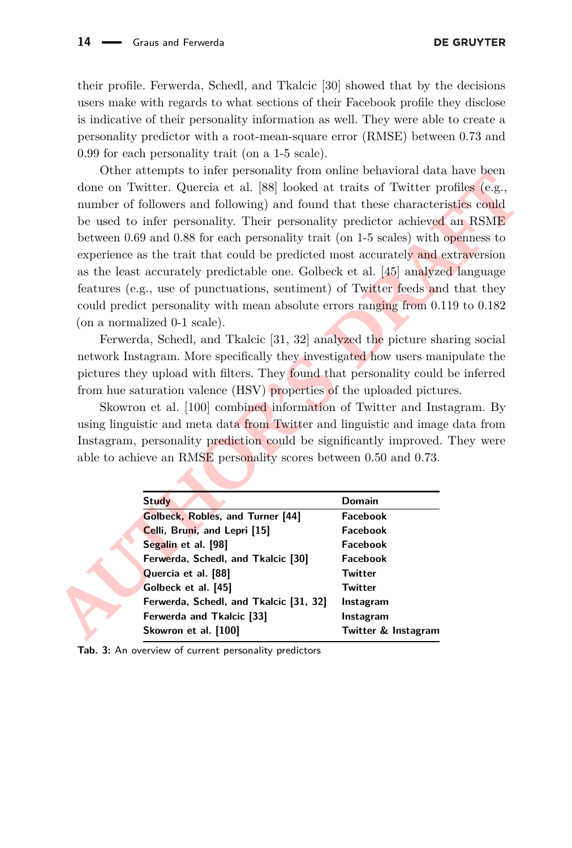their profile. Ferwerda, Schedl, and Tkalcic [\[30\]](#page-25-10) showed that by the decisions users make with regards to what sections of their Facebook profile they disclose is indicative of their personality information as well. They were able to create a personality predictor with a root-mean-square error (RMSE) between 0.73 and 0.99 for each personality trait (on a 1-5 scale).

Content accounts of the presentation of outer accounts of the subset of the section of Twitter. Quercia et al. [88] looked at traits of Twitter profiles (e.g., number of following and following) and found that these charac Other attempts to infer personality from online behavioral data have been done on Twitter. Quercia et al. [\[88\]](#page-29-9) looked at traits of Twitter profiles (e.g., number of followers and following) and found that these characteristics could be used to infer personality. Their personality predictor achieved an RSME between 0.69 and 0.88 for each personality trait (on 1-5 scales) with openness to experience as the trait that could be predicted most accurately and extraversion as the least accurately predictable one. Golbeck et al. [45] analyzed language features (e.g., use of punctuations, sentiment) of Twitter feeds and that they could predict personality with mean absolute errors ranging from 0.119 to 0.182 (on a normalized 0-1 scale).

Ferwerda, Schedl, and Tkalcic [\[31,](#page-25-11) [32\]](#page-25-12) analyzed the picture sharing social network Instagram. More specifically they investigated how users manipulate the pictures they upload with filters. They found that personality could be inferred from hue saturation valence (HSV) properties of the uploaded pictures.

Skowron et al. [100] combined information of Twitter and Instagram. By using linguistic and meta data from Twitter and linguistic and image data from Instagram, personality prediction could be significantly improved. They were able to achieve an RMSE personality scores between 0.50 and 0.73.

<span id="page-13-0"></span>

| <b>Study</b>                           | Domain              |
|----------------------------------------|---------------------|
| Golbeck, Robles, and Turner [44]       | Facebook            |
| Celli, Bruni, and Lepri [15]           | Facebook            |
| Segalin et al. [98]                    | Facebook            |
| Ferwerda, Schedl, and Tkalcic [30]     | Facebook            |
| Quercia et al. [88]                    | Twitter             |
| Golbeck et al. [45]                    | Twitter             |
| Ferwerda, Schedl, and Tkalcic [31, 32] | Instagram           |
| Ferwerda and Tkalcic [33]              | Instagram           |
| Skowron et al. [100]                   | Twitter & Instagram |
|                                        |                     |

**Tab. 3:** An overview of current personality predictors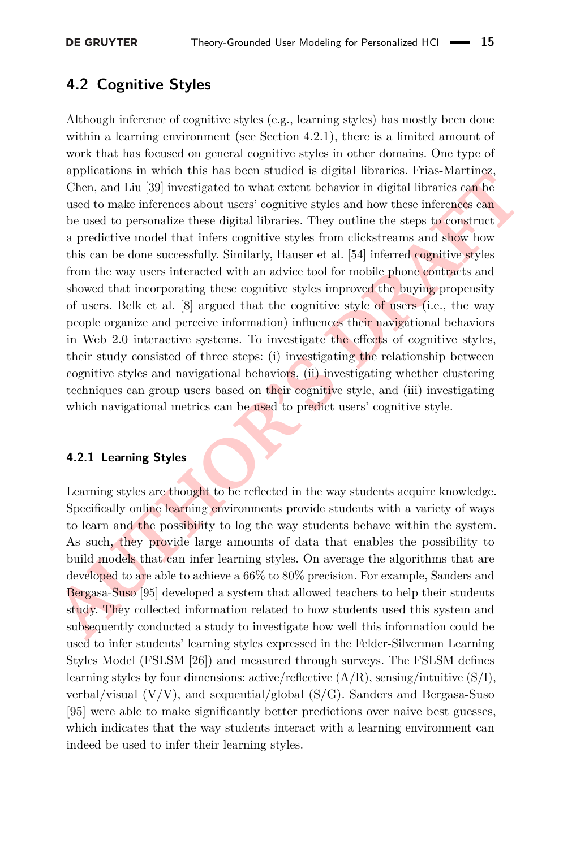## **4.2 Cognitive Styles**

**Expansion in which tanks is located in the way students acquived to barrow and the proposition of the studio (Den, and Liu [39] investigated to what extent behavior in digital libraries can be used to personalize these di** Although inference of cognitive styles (e.g., learning styles) has mostly been done within a learning environment (see Section [4.2.1\)](#page-14-0), there is a limited amount of work that has focused on general cognitive styles in other domains. One type of applications in which this has been studied is digital libraries. Frias-Martinez, Chen, and Liu [\[39\]](#page-26-11) investigated to what extent behavior in digital libraries can be used to make inferences about users' cognitive styles and how these inferences can be used to personalize these digital libraries. They outline the steps to construct a predictive model that infers cognitive styles from clickstreams and show how this can be done successfully. Similarly, Hauser et al. [54] inferred cognitive styles from the way users interacted with an advice tool for mobile phone contracts and showed that incorporating these cognitive styles improved the buying propensity of users. Belk et al. [\[8\]](#page-24-13) argued that the cognitive style of users (i.e., the way people organize and perceive information) influences their navigational behaviors in Web 2.0 interactive systems. To investigate the effects of cognitive styles, their study consisted of three steps: (i) investigating the relationship between cognitive styles and navigational behaviors, (ii) investigating whether clustering techniques can group users based on their cognitive style, and (iii) investigating which navigational metrics can be used to predict users' cognitive style.

#### <span id="page-14-0"></span>**4.2.1 Learning Styles**

Learning styles are thought to be reflected in the way students acquire knowledge. Specifically online learning environments provide students with a variety of ways to learn and the possibility to log the way students behave within the system. As such, they provide large amounts of data that enables the possibility to build models that can infer learning styles. On average the algorithms that are developed to are able to achieve a 66% to 80% precision. For example, Sanders and Bergasa-Suso [95] developed a system that allowed teachers to help their students study. They collected information related to how students used this system and subsequently conducted a study to investigate how well this information could be used to infer students' learning styles expressed in the Felder-Silverman Learning Styles Model (FSLSM [\[26\]](#page-25-14)) and measured through surveys. The FSLSM defines learning styles by four dimensions: active/reflective  $(A/R)$ , sensing/intuitive  $(S/I)$ , verbal/visual (V/V), and sequential/global (S/G). Sanders and Bergasa-Suso [\[95\]](#page-29-12) were able to make significantly better predictions over naive best guesses, which indicates that the way students interact with a learning environment can indeed be used to infer their learning styles.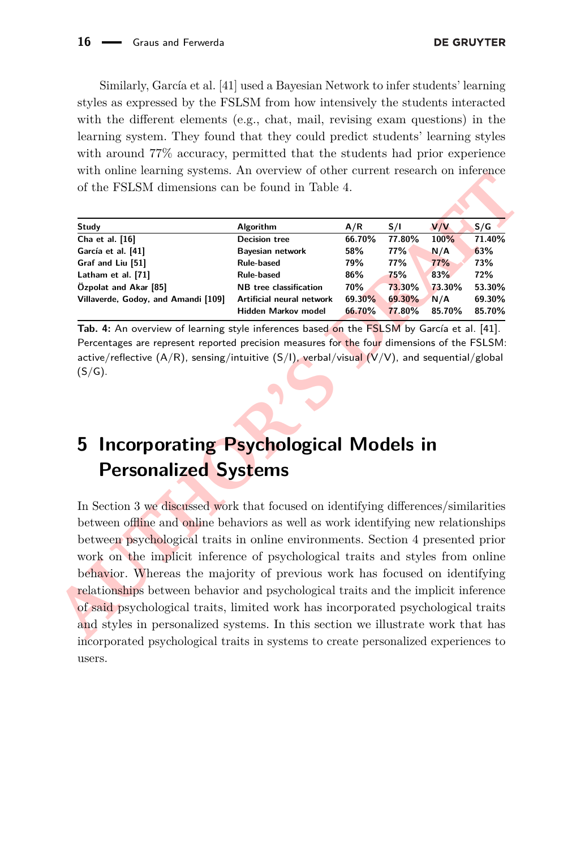Similarly, García et al. [\[41\]](#page-26-12) used a Bayesian Network to infer students' learning styles as expressed by the FSLSM from how intensively the students interacted with the different elements (e.g., chat, mail, revising exam questions) in the learning system. They found that they could predict students' learning styles with around  $77\%$  accuracy, permitted that the students had prior experience with online learning systems. An overview of other current research on inference of the FSLSM dimensions can be found in Table 4.

<span id="page-15-1"></span>

| Study                               | <b>Algorithm</b>              | A/R    | S/I        | V/V    | S/G    |
|-------------------------------------|-------------------------------|--------|------------|--------|--------|
| Cha et al. [16]                     | <b>Decision tree</b>          | 66.70% | 77.80%     | 100%   | 71.40% |
| García et al. [41]                  | <b>Bayesian network</b>       | 58%    | <b>77%</b> | N/A    | 63%    |
| Graf and Liu [51]                   | <b>Rule-based</b>             | 79%    | 77%        | 77%    | 73%    |
| Latham et al. [71]                  | <b>Rule-based</b>             | 86%    | 75%        | 83%    | 72%    |
| Özpolat and Akar [85]               | <b>NB</b> tree classification | 70%    | 73.30%     | 73.30% | 53.30% |
| Villaverde, Godoy, and Amandi [109] | Artificial neural network     | 69.30% | 69.30%     | N/A    | 69.30% |
|                                     | Hidden Markov model           | 66.70% | 77.80%     | 85.70% | 85.70% |

**Tab. 4:** An overview of learning style inferences based on the FSLSM by García et al. [41]. Percentages are represent reported precision measures for the four dimensions of the FSLSM: active/reflective  $(A/R)$ , sensing/intuitive  $(S/I)$ , verbal/visual  $(V/V)$ , and sequential/global  $(S/G)$ .

# <span id="page-15-0"></span>**5 Incorporating Psychological Models in Personalized Systems**

**AUCHER CONFIDEN[T](#page-8-0)IFY** CONFIRM CONTROLLED THE SECTION AND CONTROLLED THE SECTION OF THE SECTION (1995) AND CONFIRM CHE SECTION CONFIRM CONFIRM CONFIRM CONFIRM CONFIRM CONFIRM CONFIRM CONFIRM CONFIRM CONFIRM CONFIRM CONFIRM In Section 3 we discussed work that focused on identifying differences/similarities between offline and online behaviors as well as work identifying new relationships between psychological traits in online environments. Section [4](#page-12-0) presented prior work on the implicit inference of psychological traits and styles from online behavior. Whereas the majority of previous work has focused on identifying relationships between behavior and psychological traits and the implicit inference of said psychological traits, limited work has incorporated psychological traits and styles in personalized systems. In this section we illustrate work that has incorporated psychological traits in systems to create personalized experiences to users.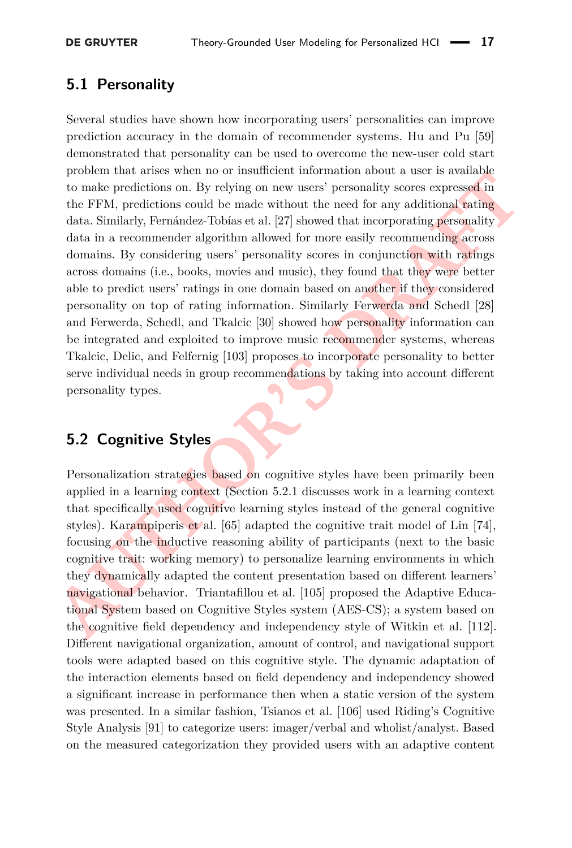## **5.1 Personality**

From the artists when no to mass<br>relations on. By relying on new users' personality scores expressed in<br>the FFM, predictions could be made without the need for any additional rating<br>data. Similarly, Fermander algorithm all Several studies have shown how incorporating users' personalities can improve prediction accuracy in the domain of recommender systems. Hu and Pu [\[59\]](#page-27-12) demonstrated that personality can be used to overcome the new-user cold start problem that arises when no or insufficient information about a user is available to make predictions on. By relying on new users' personality scores expressed in the FFM, predictions could be made without the need for any additional rating data. Similarly, Fernández-Tobías et al. [\[27\]](#page-25-15) showed that incorporating personality data in a recommender algorithm allowed for more easily recommending across domains. By considering users' personality scores in conjunction with ratings across domains (i.e., books, movies and music), they found that they were better able to predict users' ratings in one domain based on another if they considered personality on top of rating information. Similarly Ferwerda and Schedl [28] and Ferwerda, Schedl, and Tkalcic [\[30\]](#page-25-10) showed how personality information can be integrated and exploited to improve music recommender systems, whereas Tkalcic, Delic, and Felfernig [\[103\]](#page-30-11) proposes to incorporate personality to better serve individual needs in group recommendations by taking into account different personality types.

## **5.2 Cognitive Styles**

Personalization strategies based on cognitive styles have been primarily been applied in a learning context (Section 5.2.1 discusses work in a learning context that specifically used cognitive learning styles instead of the general cognitive styles). Karampiperis et al. [65] adapted the cognitive trait model of Lin [\[74\]](#page-28-13), focusing on the inductive reasoning ability of participants (next to the basic cognitive trait: working memory) to personalize learning environments in which they dynamically adapted the content presentation based on different learners' navigational behavior. Triantafillou et al. [105] proposed the Adaptive Educational System based on Cognitive Styles system (AES-CS); a system based on the cognitive field dependency and independency style of Witkin et al. [\[112\]](#page-30-13). Different navigational organization, amount of control, and navigational support tools were adapted based on this cognitive style. The dynamic adaptation of the interaction elements based on field dependency and independency showed a significant increase in performance then when a static version of the system was presented. In a similar fashion, Tsianos et al. [\[106\]](#page-30-14) used Riding's Cognitive Style Analysis [\[91\]](#page-29-14) to categorize users: imager/verbal and wholist/analyst. Based on the measured categorization they provided users with an adaptive content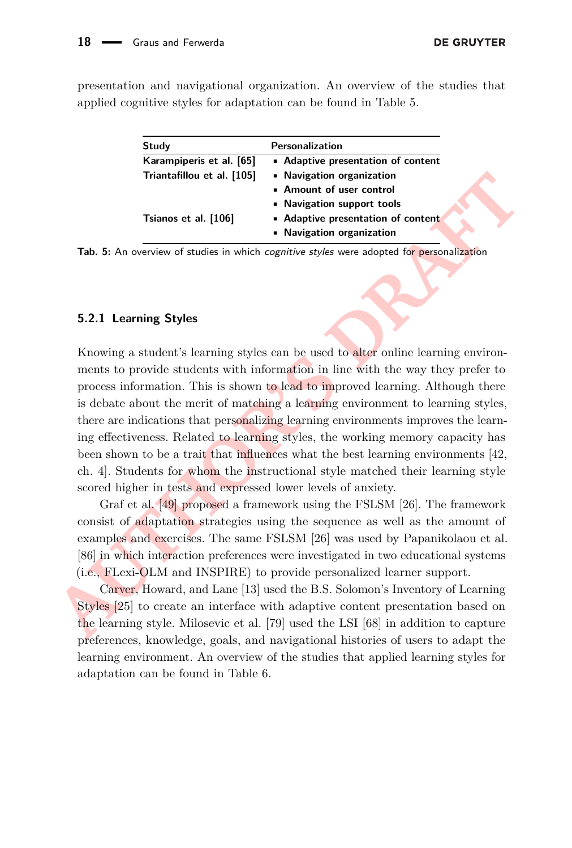<span id="page-17-1"></span>presentation and navigational organization. An overview of the studies that applied cognitive styles for adaptation can be found in Table [5.](#page-17-1)

| Study                      | Personalization                    |
|----------------------------|------------------------------------|
| Karampiperis et al. [65]   | • Adaptive presentation of content |
| Triantafillou et al. [105] | • Navigation organization          |
|                            | • Amount of user control           |
|                            | • Navigation support tools         |
| Tsianos et al. [106]       | • Adaptive presentation of content |
|                            | • Navigation organization          |

**Tab. 5:** An overview of studies in which cognitive styles were adopted for personalization

#### <span id="page-17-0"></span>**5.2.1 Learning Styles**

**Example 8.1.** (105) **•** Nongoton consideration **• A [AU](#page-25-17)** Amount of user control<br> **A Audition** support tools<br> **A Audition** support tools<br> **AU**<br> **AU**<br> **AU**<br> **AU**<br> **AU**<br> **AU**<br> **AU**<br> **AU**<br> **AU**<br> **AU**<br> **AU**<br> **AU**<br> **AU** Knowing a student's learning styles can be used to alter online learning environments to provide students with information in line with the way they prefer to process information. This is shown to lead to improved learning. Although there is debate about the merit of matching a learning environment to learning styles, there are indications that personalizing learning environments improves the learning effectiveness. Related to learning styles, the working memory capacity has been shown to be a trait that influences what the best learning environments [\[42,](#page-26-0) ch. 4]. Students for whom the instructional style matched their learning style scored higher in tests and expressed lower levels of anxiety.

Graf et al. [49] proposed a framework using the FSLSM [\[26\]](#page-25-14). The framework consist of adaptation strategies using the sequence as well as the amount of examples and exercises. The same FSLSM [26] was used by Papanikolaou et al. [86] in which interaction preferences were investigated in two educational systems (i.e., FLexi-OLM and INSPIRE) to provide personalized learner support.

Carver, Howard, and Lane [13] used the B.S. Solomon's Inventory of Learning Styles [25] to create an interface with adaptive content presentation based on the learning style. Milosevic et al. [79] used the LSI [\[68\]](#page-28-4) in addition to capture preferences, knowledge, goals, and navigational histories of users to adapt the learning environment. An overview of the studies that applied learning styles for adaptation can be found in Table [6.](#page-18-0)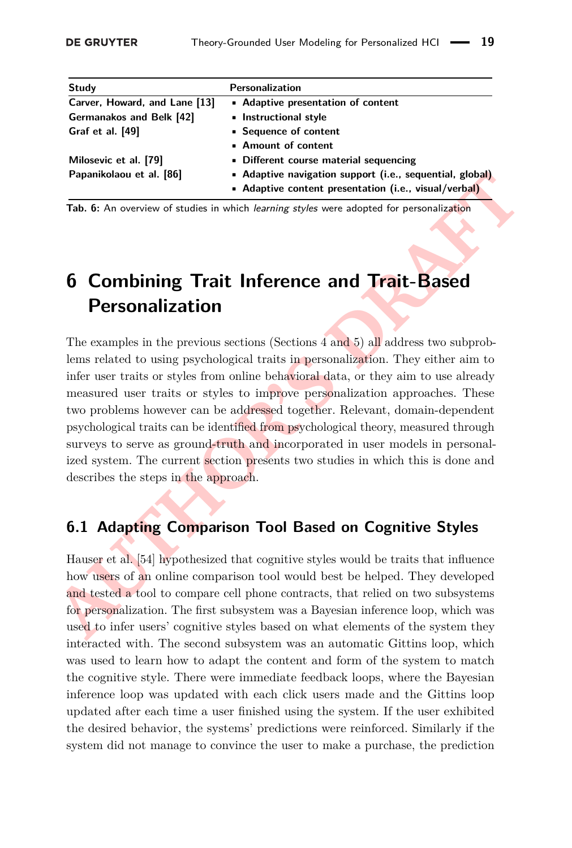<span id="page-18-0"></span>

| Study                         | Personalization                                          |
|-------------------------------|----------------------------------------------------------|
| Carver, Howard, and Lane [13] | • Adaptive presentation of content                       |
| Germanakos and Belk [42]      | • Instructional style                                    |
| Graf et al. [49]              | • Sequence of content                                    |
|                               | • Amount of content                                      |
| Milosevic et al. [79]         | • Different course material sequencing                   |
| Papanikolaou et al. [86]      | • Adaptive navigation support (i.e., sequential, global) |
|                               | • Adaptive content presentation (i.e., visual/verbal)    |

**Tab. 6:** An overview of studies in which learning styles were adopted for personalization

# **6 Combining Trait Inference and Trait-Based Personalization**

**A[UT](#page-27-10)HOR'S [D](#page-15-0)RAFT** The examples in the previous sections (Sections [4](#page-12-0) and 5) all address two subproblems related to using psychological traits in personalization. They either aim to infer user traits or styles from online behavioral data, or they aim to use already measured user traits or styles to improve personalization approaches. These two problems however can be addressed together. Relevant, domain-dependent psychological traits can be identified from psychological theory, measured through surveys to serve as ground-truth and incorporated in user models in personalized system. The current section presents two studies in which this is done and describes the steps in the approach.

## **6.1 Adapting Comparison Tool Based on Cognitive Styles**

Hauser et al. [54] hypothesized that cognitive styles would be traits that influence how users of an online comparison tool would best be helped. They developed and tested a tool to compare cell phone contracts, that relied on two subsystems for personalization. The first subsystem was a Bayesian inference loop, which was used to infer users' cognitive styles based on what elements of the system they interacted with. The second subsystem was an automatic Gittins loop, which was used to learn how to adapt the content and form of the system to match the cognitive style. There were immediate feedback loops, where the Bayesian inference loop was updated with each click users made and the Gittins loop updated after each time a user finished using the system. If the user exhibited the desired behavior, the systems' predictions were reinforced. Similarly if the system did not manage to convince the user to make a purchase, the prediction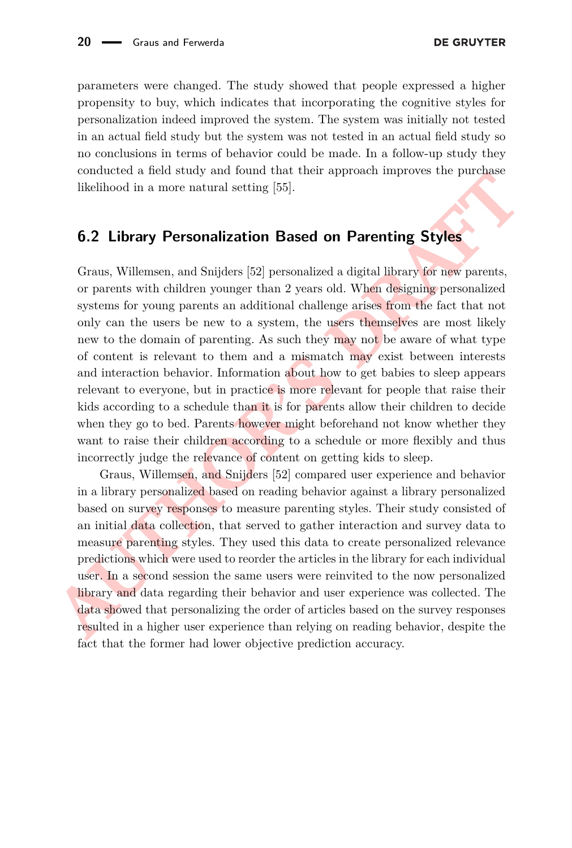parameters were changed. The study showed that people expressed a higher propensity to buy, which indicates that incorporating the cognitive styles for personalization indeed improved the system. The system was initially not tested in an actual field study but the system was not tested in an actual field study so no conclusions in terms of behavior could be made. In a follow-up study they conducted a field study and found that their approach improves the purchase likelihood in a more natural setting [\[55\]](#page-27-14).

### **6.2 Library Personalization Based on Parenting Styles**

conducted is near setuation and setuation and the straightest inplotes the purchase<br>idealited in a more natural setting [55].<br> **6.2 Library Personalization Based on Parenting Styles**<br>
Graus, Willemsen, and Snijders [52] p Graus, Willemsen, and Snijders [\[52\]](#page-27-15) personalized a digital library for new parents, or parents with children younger than 2 years old. When designing personalized systems for young parents an additional challenge arises from the fact that not only can the users be new to a system, the users themselves are most likely new to the domain of parenting. As such they may not be aware of what type of content is relevant to them and a mismatch may exist between interests and interaction behavior. Information about how to get babies to sleep appears relevant to everyone, but in practice is more relevant for people that raise their kids according to a schedule than it is for parents allow their children to decide when they go to bed. Parents however might beforehand not know whether they want to raise their children according to a schedule or more flexibly and thus incorrectly judge the relevance of content on getting kids to sleep.

Graus, Willemsen, and Snijders [52] compared user experience and behavior in a library personalized based on reading behavior against a library personalized based on survey responses to measure parenting styles. Their study consisted of an initial data collection, that served to gather interaction and survey data to measure parenting styles. They used this data to create personalized relevance predictions which were used to reorder the articles in the library for each individual user. In a second session the same users were reinvited to the now personalized library and data regarding their behavior and user experience was collected. The data showed that personalizing the order of articles based on the survey responses resulted in a higher user experience than relying on reading behavior, despite the fact that the former had lower objective prediction accuracy.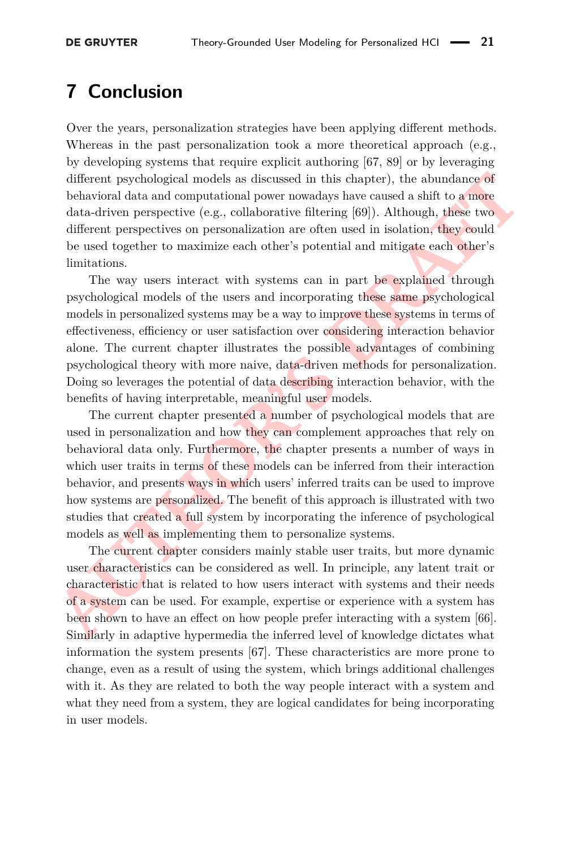## **7 Conclusion**

Over the years, personalization strategies have been applying different methods. Whereas in the past personalization took a more theoretical approach (e.g., by developing systems that require explicit authoring [\[67,](#page-28-15) [89\]](#page-29-0) or by leveraging different psychological models as discussed in this chapter), the abundance of behavioral data and computational power nowadays have caused a shift to a more data-driven perspective (e.g., collaborative filtering [69]). Although, these two different perspectives on personalization are often used in isolation, they could be used together to maximize each other's potential and mitigate each other's limitations.

The way users interact with systems can in part be explained through psychological models of the users and incorporating these same psychological models in personalized systems may be a way to improve these systems in terms of effectiveness, efficiency or user satisfaction over considering interaction behavior alone. The current chapter illustrates the possible advantages of combining psychological theory with more naive, data-driven methods for personalization. Doing so leverages the potential of data describing interaction behavior, with the benefits of having interpretable, meaningful user models.

different psychological models as discussed in this chapter), the abundance of behavioral data and computational power nowadays have caused a shift to a more data-driven prespective (e.g., collaborative filtering [69]). A The current chapter presented a number of psychological models that are used in personalization and how they can complement approaches that rely on behavioral data only. Furthermore, the chapter presents a number of ways in which user traits in terms of these models can be inferred from their interaction behavior, and presents ways in which users' inferred traits can be used to improve how systems are personalized. The benefit of this approach is illustrated with two studies that created a full system by incorporating the inference of psychological models as well as implementing them to personalize systems.

The current chapter considers mainly stable user traits, but more dynamic user characteristics can be considered as well. In principle, any latent trait or characteristic that is related to how users interact with systems and their needs of a system can be used. For example, expertise or experience with a system has been shown to have an effect on how people prefer interacting with a system [\[66\]](#page-28-16). Similarly in adaptive hypermedia the inferred level of knowledge dictates what information the system presents [\[67\]](#page-28-15). These characteristics are more prone to change, even as a result of using the system, which brings additional challenges with it. As they are related to both the way people interact with a system and what they need from a system, they are logical candidates for being incorporating in user models.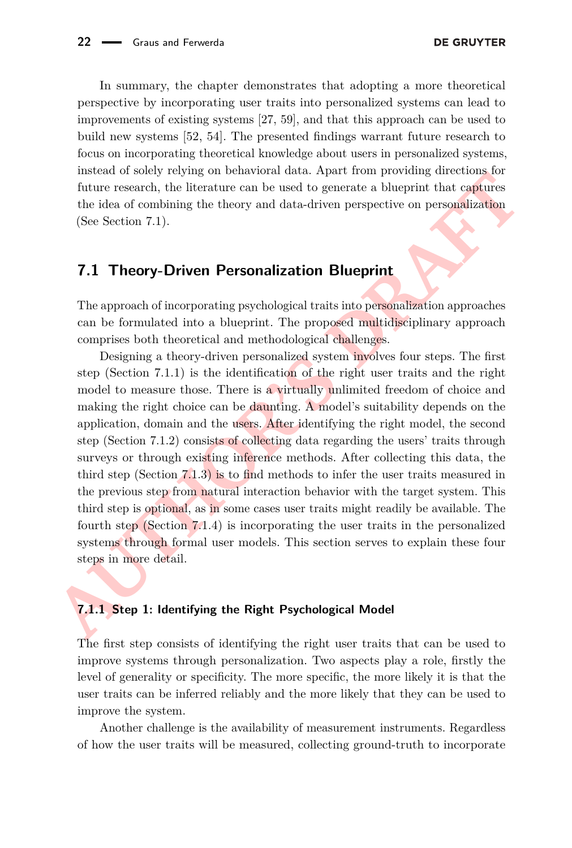In summary, the chapter demonstrates that adopting a more theoretical perspective by incorporating user traits into personalized systems can lead to improvements of existing systems [\[27,](#page-25-15) [59\]](#page-27-12), and that this approach can be used to build new systems [\[52,](#page-27-15) [54\]](#page-27-10). The presented findings warrant future research to focus on incorporating theoretical knowledge about users in personalized systems, instead of solely relying on behavioral data. Apart from providing directions for future research, the literature can be used to generate a blueprint that captures the idea of combining the theory and data-driven perspective on personalization (See Section [7.1\)](#page-21-0).

### <span id="page-21-0"></span>**7.1 Theory-Driven Personalization Blueprint**

The approach of incorporating psychological traits into personalization approaches can be formulated into a blueprint. The proposed multidisciplinary approach comprises both theoretical and methodological challenges.

measured or sonely royally on benchmental unate. Apart none and the different consideration of state of combining the theory and data-driven perspective on personalization (See Section 7.1).<br> **ALT Theory-Driven Personaliza** Designing a theory-driven personalized system involves four steps. The first step (Section 7.1.1) is the identification of the right user traits and the right model to measure those. There is a virtually unlimited freedom of choice and making the right choice can be daunting. A model's suitability depends on the application, domain and the users. After identifying the right model, the second step (Section 7.1.2) consists of collecting data regarding the users' traits through surveys or through existing inference methods. After collecting this data, the third step (Section 7.1.3) is to find methods to infer the user traits measured in the previous step from natural interaction behavior with the target system. This third step is optional, as in some cases user traits might readily be available. The fourth step (Section 7.1.4) is incorporating the user traits in the personalized systems through formal user models. This section serves to explain these four steps in more detail.

#### <span id="page-21-1"></span>**7.1.1 Step 1: Identifying the Right Psychological Model**

The first step consists of identifying the right user traits that can be used to improve systems through personalization. Two aspects play a role, firstly the level of generality or specificity. The more specific, the more likely it is that the user traits can be inferred reliably and the more likely that they can be used to improve the system.

Another challenge is the availability of measurement instruments. Regardless of how the user traits will be measured, collecting ground-truth to incorporate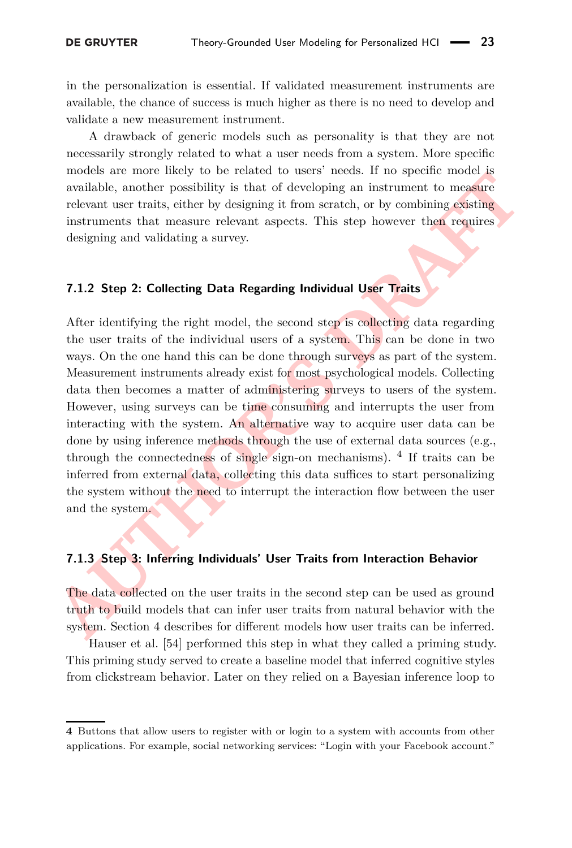in the personalization is essential. If validated measurement instruments are available, the chance of success is much higher as there is no need to develop and validate a new measurement instrument.

A drawback of generic models such as personality is that they are not necessarily strongly related to what a user needs from a system. More specific models are more likely to be related to users' needs. If no specific model is available, another possibility is that of developing an instrument to measure relevant user traits, either by designing it from scratch, or by combining existing instruments that measure relevant aspects. This step however then requires designing and validating a survey.

#### <span id="page-22-0"></span>**7.1.2 Step 2: Collecting Data Regarding Individual User Traits**

motes are more many to the reanced to interact to use a motel. The system, the system, the system, seekant the measure relevant user traits, either by designing it from scratch, or by combining existing instruments that me After identifying the right model, the second step is collecting data regarding the user traits of the individual users of a system. This can be done in two ways. On the one hand this can be done through surveys as part of the system. Measurement instruments already exist for most psychological models. Collecting data then becomes a matter of administering surveys to users of the system. However, using surveys can be time consuming and interrupts the user from interacting with the system. An alternative way to acquire user data can be done by using inference methods through the use of external data sources (e.g., through the connectedness of single sign-on mechanisms). [4](#page-22-2) If traits can be inferred from external data, collecting this data suffices to start personalizing the system without the need to interrupt the interaction flow between the user and the system.

#### <span id="page-22-1"></span>**7.1.3 Step 3: Inferring Individuals' User Traits from Interaction Behavior**

The data collected on the user traits in the second step can be used as ground truth to build models that can infer user traits from natural behavior with the system. Section 4 describes for different models how user traits can be inferred.

Hauser et al. [\[54\]](#page-27-10) performed this step in what they called a priming study. This priming study served to create a baseline model that inferred cognitive styles from clickstream behavior. Later on they relied on a Bayesian inference loop to

<span id="page-22-2"></span>**<sup>4</sup>** Buttons that allow users to register with or login to a system with accounts from other applications. For example, social networking services: "Login with your Facebook account."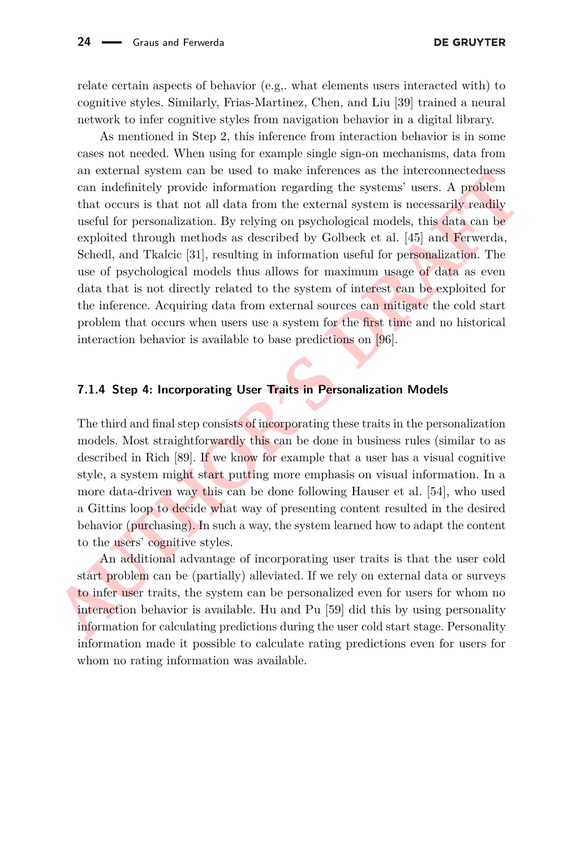relate certain aspects of behavior (e.g,. what elements users interacted with) to cognitive styles. Similarly, Frias-Martinez, Chen, and Liu [\[39\]](#page-26-11) trained a neural network to infer cognitive styles from navigation behavior in a digital library.

and expendition to the tasted to make interested as the mactomackeuse of the dependinted provide information regarding the systems' users. [A](#page-26-10) problem that occurs is that not all data from the external system is necessarily As mentioned in Step 2, this inference from interaction behavior is in some cases not needed. When using for example single sign-on mechanisms, data from an external system can be used to make inferences as the interconnectedness can indefinitely provide information regarding the systems' users. A problem that occurs is that not all data from the external system is necessarily readily useful for personalization. By relying on psychological models, this data can be exploited through methods as described by Golbeck et al. [45] and Ferwerda, Schedl, and Tkalcic [\[31\]](#page-25-11), resulting in information useful for personalization. The use of psychological models thus allows for maximum usage of data as even data that is not directly related to the system of interest can be exploited for the inference. Acquiring data from external sources can mitigate the cold start problem that occurs when users use a system for the first time and no historical interaction behavior is available to base predictions on [96].

#### <span id="page-23-0"></span>**7.1.4 Step 4: Incorporating User Traits in Personalization Models**

The third and final step consists of incorporating these traits in the personalization models. Most straightforwardly this can be done in business rules (similar to as described in Rich [89]. If we know for example that a user has a visual cognitive style, a system might start putting more emphasis on visual information. In a more data-driven way this can be done following Hauser et al. [\[54\]](#page-27-10), who used a Gittins loop to decide what way of presenting content resulted in the desired behavior (purchasing). In such a way, the system learned how to adapt the content to the users' cognitive styles.

An additional advantage of incorporating user traits is that the user cold start problem can be (partially) alleviated. If we rely on external data or surveys to infer user traits, the system can be personalized even for users for whom no interaction behavior is available. Hu and Pu [\[59\]](#page-27-12) did this by using personality information for calculating predictions during the user cold start stage. Personality information made it possible to calculate rating predictions even for users for whom no rating information was available.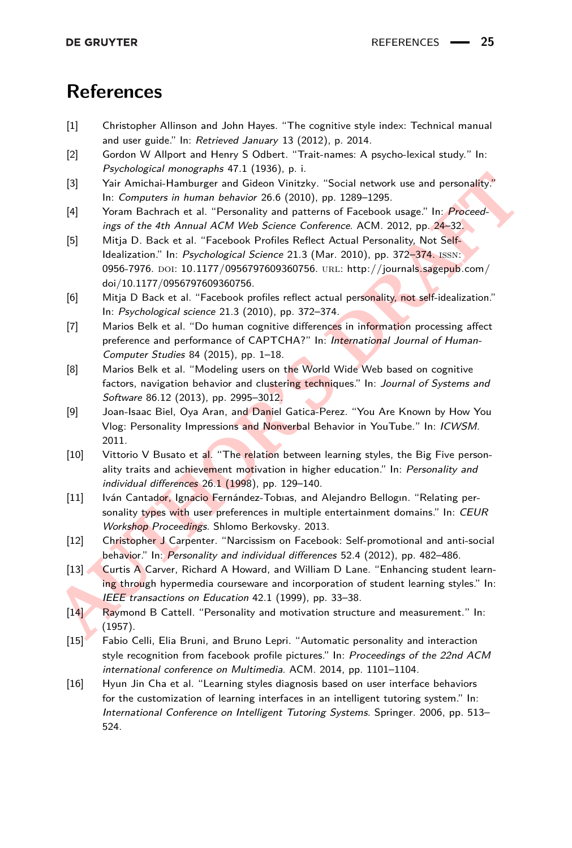## **References**

- <span id="page-24-2"></span>[1] Christopher Allinson and John Hayes. "The cognitive style index: Technical manual and user guide." In: Retrieved January 13 (2012), p. 2014.
- <span id="page-24-1"></span>[2] Gordon W Allport and Henry S Odbert. "Trait-names: A psycho-lexical study." In: Psychological monographs 47.1 (1936), p. i.
- <span id="page-24-9"></span>[3] Yair Amichai-Hamburger and Gideon Vinitzky. "Social network use and personality." In: Computers in human behavior 26.6 (2010), pp. 1289–1295.
- <span id="page-24-15"></span><span id="page-24-14"></span><span id="page-24-13"></span><span id="page-24-12"></span><span id="page-24-11"></span><span id="page-24-10"></span><span id="page-24-8"></span><span id="page-24-7"></span><span id="page-24-6"></span><span id="page-24-5"></span><span id="page-24-4"></span><span id="page-24-3"></span><span id="page-24-0"></span>[4] Yoram Bachrach et al. "Personality and patterns of Facebook usage." In: Proceedings of the 4th Annual ACM Web Science Conference. ACM. 2012, pp. 24–32.
- 131 Yair Amichia-Hamburger and Globon Vinitzky. "Social network use and personality."<br> **AUT Amichia-Hamburger and Globon Vinitzky. "Social network use and personality."**<br> **AUT Computers in human Ashariov 26 0 (2010)**, pp. [5] Mitja D. Back et al. "Facebook Profiles Reflect Actual Personality, Not Self-Idealization." In: Psychological Science 21.3 (Mar. 2010), pp. 372-374. ISSN: 0956-7976. DOI: [10.1177/0956797609360756.](http://dx.doi.org/10.1177/0956797609360756) URL: http://journals.sagepub.com/ [doi/10.1177/0956797609360756.](http://journals.sagepub.com/doi/10.1177/0956797609360756)
	- [6] Mitja D Back et al. "Facebook profiles reflect actual personality, not self-idealization." In: Psychological science 21.3 (2010), pp. 372–374.
	- [7] Marios Belk et al. "Do human cognitive differences in information processing affect preference and performance of CAPTCHA?" In: International Journal of Human-Computer Studies 84 (2015), pp. 1–18.
	- [8] Marios Belk et al. "Modeling users on the World Wide Web based on cognitive factors, navigation behavior and clustering techniques." In: Journal of Systems and Software 86.12 (2013), pp. 2995–3012.
	- [9] Joan-Isaac Biel, Oya Aran, and Daniel Gatica-Perez. "You Are Known by How You Vlog: Personality Impressions and Nonverbal Behavior in YouTube." In: ICWSM. 2011.
	- [10] Vittorio V Busato et al. "The relation between learning styles, the Big Five personality traits and achievement motivation in higher education." In: Personality and individual differences 26.1 (1998), pp. 129–140.
	- [11] Iván Cantador, Ignacio Fernández-Tobias, and Alejandro Bellogin. "Relating personality types with user preferences in multiple entertainment domains." In: CEUR Workshop Proceedings. Shlomo Berkovsky. 2013.
	- [12] Christopher J Carpenter. "Narcissism on Facebook: Self-promotional and anti-social behavior." In: Personality and individual differences 52.4 (2012), pp. 482-486.
	- [13] Curtis A Carver, Richard A Howard, and William D Lane. "Enhancing student learning through hypermedia courseware and incorporation of student learning styles." In: IEEE transactions on Education 42.1 (1999), pp. 33-38.
	- [14] Raymond B Cattell. "Personality and motivation structure and measurement." In: (1957).
	- [15] Fabio Celli, Elia Bruni, and Bruno Lepri. "Automatic personality and interaction style recognition from facebook profile pictures." In: Proceedings of the 22nd ACM international conference on Multimedia. ACM. 2014, pp. 1101–1104.
	- [16] Hyun Jin Cha et al. "Learning styles diagnosis based on user interface behaviors for the customization of learning interfaces in an intelligent tutoring system." In: International Conference on Intelligent Tutoring Systems. Springer. 2006, pp. 513– 524.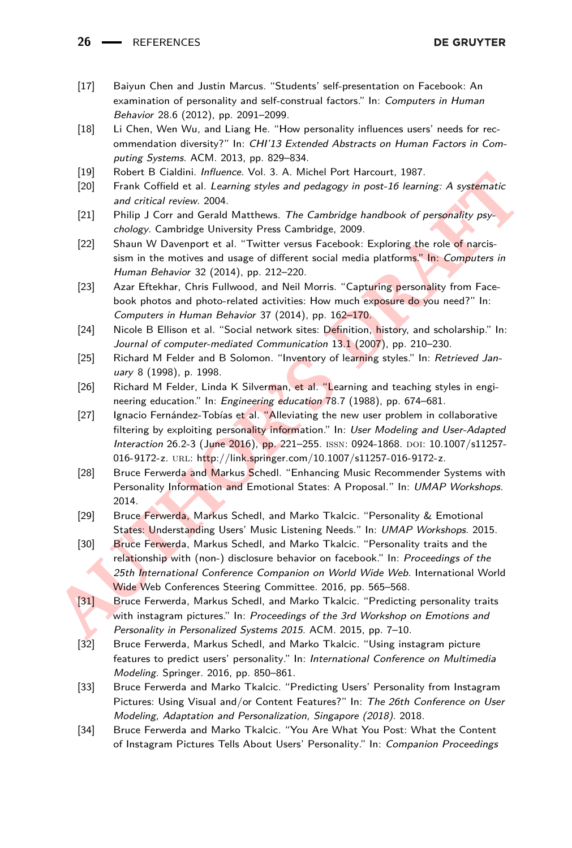26 - REFERENCES

- <span id="page-25-6"></span>[17] Baiyun Chen and Justin Marcus. "Students' self-presentation on Facebook: An examination of personality and self-construal factors." In: Computers in Human Behavior 28.6 (2012), pp. 2091–2099.
- <span id="page-25-9"></span>[18] Li Chen, Wen Wu, and Liang He. "How personality influences users' needs for recommendation diversity?" In: CHI'13 Extended Abstracts on Human Factors in Computing Systems. ACM. 2013, pp. 829–834.
- <span id="page-25-1"></span>[19] Robert B Cialdini. *Influence*. Vol. 3. A. Michel Port Harcourt, 1987.
- <span id="page-25-3"></span>[20] Frank Coffield et al. Learning styles and pedagogy in post-16 learning: A systematic and critical review. 2004.
- <span id="page-25-2"></span>[21] Philip J Corr and Gerald Matthews. The Cambridge handbook of personality psychology. Cambridge University Press Cambridge, 2009.
- <span id="page-25-7"></span>[22] Shaun W Davenport et al. "Twitter versus Facebook: Exploring the role of narcissism in the motives and usage of different social media platforms." In: Computers in Human Behavior 32 (2014), pp. 212–220.
- <span id="page-25-5"></span>[23] Azar Eftekhar, Chris Fullwood, and Neil Morris. "Capturing personality from Facebook photos and photo-related activities: How much exposure do you need?" In: Computers in Human Behavior 37 (2014), pp. 162–170.
- <span id="page-25-4"></span>[24] Nicole B Ellison et al. "Social network sites: Definition, history, and scholarship." In: Journal of computer-mediated Communication 13.1 (2007), pp. 210-230.
- <span id="page-25-17"></span>[25] Richard M Felder and B Solomon. "Inventory of learning styles." In: Retrieved January 8 (1998), p. 1998.
- <span id="page-25-14"></span>[26] Richard M Felder, Linda K Silverman, et al. "Learning and teaching styles in engineering education." In: Engineering education 78.7 (1988), pp. 674–681.
- <span id="page-25-15"></span>[27] Ignacio Fernández-Tobías et al. "Alleviating the new user problem in collaborative filtering by exploiting personality information." In: User Modeling and User-Adapted Interaction 26.2-3 (June 2016), pp. 221-255. ISSN: 0924-1868. DOI: [10.1007/s11257](http://dx.doi.org/10.1007/s11257-016-9172-z) 016-9172-z. URL: [http://link.springer.com/10.1007/s11257-016-9172-z.](http://link.springer.com/10.1007/s11257-016-9172-z)
- <span id="page-25-16"></span>[28] Bruce Ferwerda and Markus Schedl. "Enhancing Music Recommender Systems with Personality Information and Emotional States: A Proposal." In: UMAP Workshops. 2014.
- <span id="page-25-13"></span><span id="page-25-12"></span><span id="page-25-11"></span><span id="page-25-10"></span><span id="page-25-8"></span><span id="page-25-0"></span>[29] Bruce Ferwerda, Markus Schedl, and Marko Tkalcic. "Personality & Emotional States: Understanding Users' Music Listening Needs." In: UMAP Workshops. 2015.
- (19)<br>
Frank Coffield et al. Learning styles and pedagogy in post-16 learning: A systematic<br>
201 Frank Coffield et al. Learning styles and pedagogy in post-16 learning: A systematic<br>
212 Philip J Corr and Getal Matthews. Th [30] Bruce Ferwerda, Markus Schedl, and Marko Tkalcic. "Personality traits and the relationship with (non-) disclosure behavior on facebook." In: Proceedings of the 25th International Conference Companion on World Wide Web. International World Wide Web Conferences Steering Committee. 2016, pp. 565–568.
	- [31] Bruce Ferwerda, Markus Schedl, and Marko Tkalcic. "Predicting personality traits with instagram pictures." In: Proceedings of the 3rd Workshop on Emotions and Personality in Personalized Systems 2015. ACM. 2015, pp. 7–10.
	- [32] Bruce Ferwerda, Markus Schedl, and Marko Tkalcic. "Using instagram picture features to predict users' personality." In: International Conference on Multimedia Modeling. Springer. 2016, pp. 850–861.
	- [33] Bruce Ferwerda and Marko Tkalcic. "Predicting Users' Personality from Instagram Pictures: Using Visual and/or Content Features?" In: The 26th Conference on User Modeling, Adaptation and Personalization, Singapore (2018). 2018.
	- [34] Bruce Ferwerda and Marko Tkalcic. "You Are What You Post: What the Content of Instagram Pictures Tells About Users' Personality." In: Companion Proceedings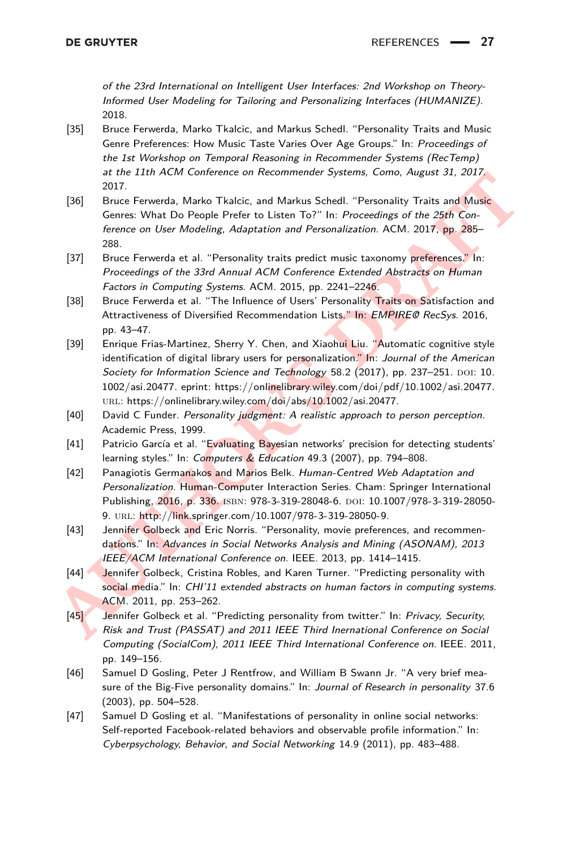of the 23rd International on Intelligent User Interfaces: 2nd Workshop on Theory-Informed User Modeling for Tailoring and Personalizing Interfaces (HUMANIZE). 2018.

- <span id="page-26-4"></span>[35] Bruce Ferwerda, Marko Tkalcic, and Markus Schedl. "Personality Traits and Music Genre Preferences: How Music Taste Varies Over Age Groups." In: Proceedings of the 1st Workshop on Temporal Reasoning in Recommender Systems (RecTemp) at the 11th ACM Conference on Recommender Systems, Como, August 31, 2017. 2017.
- <span id="page-26-5"></span>[36] Bruce Ferwerda, Marko Tkalcic, and Markus Schedl. "Personality Traits and Music Genres: What Do People Prefer to Listen To?" In: Proceedings of the 25th Conference on User Modeling, Adaptation and Personalization. ACM. 2017, pp. 285– 288.
- <span id="page-26-6"></span>[37] Bruce Ferwerda et al. "Personality traits predict music taxonomy preferences." In: Proceedings of the 33rd Annual ACM Conference Extended Abstracts on Human Factors in Computing Systems. ACM. 2015, pp. 2241–2246.
- <span id="page-26-12"></span><span id="page-26-11"></span><span id="page-26-10"></span><span id="page-26-9"></span><span id="page-26-8"></span><span id="page-26-7"></span><span id="page-26-3"></span><span id="page-26-2"></span><span id="page-26-1"></span><span id="page-26-0"></span>[38] Bruce Ferwerda et al. "The Influence of Users' Personality Traits on Satisfaction and Attractiveness of Diversified Recommendation Lists." In: EMPIRE@ RecSys. 2016, pp. 43–47.
- **AURE EXPRESSIONAL Substrate Control (and Markus Schell, "Personality Frais and Music Genere on User Modeling, Adaptation and Personalitation. ACM. 2017, pp. 285-<br>
The Proceedings of the 25th Control (Control (and Music Sc** [39] Enrique Frias-Martinez, Sherry Y. Chen, and Xiaohui Liu. "Automatic cognitive style identification of digital library users for personalization." In: Journal of the American Society for Information Science and Technology 58.2 (2017), pp. 237-251. DOI: [10.](http://dx.doi.org/10.1002/asi.20477) 1002/asi.20477. eprint: [https://onlinelibrary.wiley.com/doi/pdf/10.1002/asi.20477.](https://onlinelibrary.wiley.com/doi/pdf/10.1002/asi.20477) URL: [https://onlinelibrary.wiley.com/doi/abs/10.1002/asi.20477.](https://onlinelibrary.wiley.com/doi/abs/10.1002/asi.20477)
	- [40] David C Funder. Personality judgment: A realistic approach to person perception. Academic Press, 1999.
	- [41] Patricio García et al. "Evaluating Bayesian networks' precision for detecting students' learning styles." In: Computers & Education 49.3 (2007), pp. 794–808.
	- [42] Panagiotis Germanakos and Marios Belk. Human-Centred Web Adaptation and Personalization. Human-Computer Interaction Series. Cham: Springer International Publishing, 2016, p. 336. ISBN: 978-3-319-28048-6. DOI: [10.1007/978-3-319-28050-](http://dx.doi.org/10.1007/978-3-319-28050-9) 9. url: http://link.springer.com/10.1007/978-3-319-28050-9.
	- [43] Jennifer Golbeck and Eric Norris. "Personality, movie preferences, and recommendations." In: Advances in Social Networks Analysis and Mining (ASONAM), 2013 IEEE/ACM International Conference on. IEEE. 2013, pp. 1414–1415.
	- [44] Jennifer Golbeck, Cristina Robles, and Karen Turner. "Predicting personality with social media." In: CHI'11 extended abstracts on human factors in computing systems. ACM. 2011, pp. 253–262.
	- [45] Jennifer Golbeck et al. "Predicting personality from twitter." In: Privacy, Security, Risk and Trust (PASSAT) and 2011 IEEE Third Inernational Conference on Social Computing (SocialCom), 2011 IEEE Third International Conference on. IEEE. 2011, pp. 149–156.
	- [46] Samuel D Gosling, Peter J Rentfrow, and William B Swann Jr. "A very brief measure of the Big-Five personality domains." In: Journal of Research in personality 37.6 (2003), pp. 504–528.
	- [47] Samuel D Gosling et al. "Manifestations of personality in online social networks: Self-reported Facebook-related behaviors and observable profile information." In: Cyberpsychology, Behavior, and Social Networking 14.9 (2011), pp. 483–488.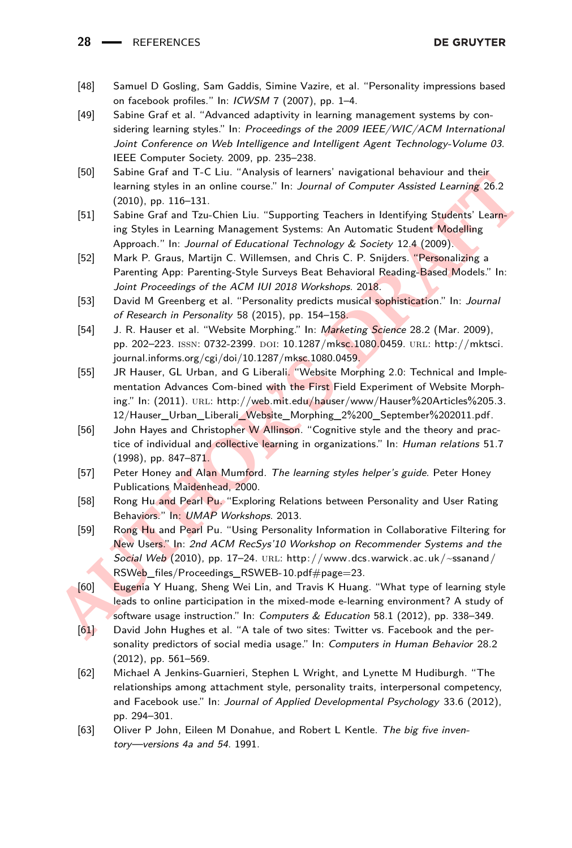#### 28 **- REFERENCES**

- <span id="page-27-5"></span>[48] Samuel D Gosling, Sam Gaddis, Simine Vazire, et al. "Personality impressions based on facebook profiles." In: ICWSM 7 (2007), pp. 1–4.
- <span id="page-27-13"></span>[49] Sabine Graf et al. "Advanced adaptivity in learning management systems by considering learning styles." In: Proceedings of the 2009 IEEE/WIC/ACM International Joint Conference on Web Intelligence and Intelligent Agent Technology-Volume 03. IEEE Computer Society. 2009, pp. 235–238.
- <span id="page-27-9"></span>[50] Sabine Graf and T-C Liu. "Analysis of learners' navigational behaviour and their learning styles in an online course." In: Journal of Computer Assisted Learning 26.2 (2010), pp. 116–131.
- <span id="page-27-11"></span>[51] Sabine Graf and Tzu-Chien Liu. "Supporting Teachers in Identifying Students' Learning Styles in Learning Management Systems: An Automatic Student Modelling Approach." In: Journal of Educational Technology & Society 12.4 (2009).
- <span id="page-27-15"></span>[52] Mark P. Graus, Martijn C. Willemsen, and Chris C. P. Snijders. "Personalizing a Parenting App: Parenting-Style Surveys Beat Behavioral Reading-Based Models." In: Joint Proceedings of the ACM IUI 2018 Workshops. 2018.
- <span id="page-27-3"></span>[53] David M Greenberg et al. "Personality predicts musical sophistication." In: Journal of Research in Personality 58 (2015), pp. 154–158.
- <span id="page-27-10"></span>[54] J. R. Hauser et al. "Website Morphing." In: Marketing Science 28.2 (Mar. 2009), pp. 202–223. issn: 0732-2399. doi: [10.1287/mksc.1080.0459.](http://dx.doi.org/10.1287/mksc.1080.0459) url: http://mktsci. journal.informs.org/cgi/doi/10.1287/mksc.1080.0459.
- <span id="page-27-14"></span>[55] JR Hauser, GL Urban, and G Liberali. "Website Morphing 2.0: Technical and Implementation Advances Com-bined with the First Field Experiment of Website Morphing." In: (2011). URL: [http://web.mit.edu/hauser/www/Hauser%20Articles%205.3.](http://web.mit.edu/hauser/www/Hauser%20Articles%205.3.12/Hauser_Urban_Liberali_Website_Morphing_2%200_September%202011.pdf) [12/Hauser\\_Urban\\_Liberali\\_Website\\_Morphing\\_2%200\\_September%202011.pdf.](http://web.mit.edu/hauser/www/Hauser%20Articles%205.3.12/Hauser_Urban_Liberali_Website_Morphing_2%200_September%202011.pdf)
- <span id="page-27-1"></span>[56] John Hayes and Christopher W Allinson. "Cognitive style and the theory and practice of individual and collective learning in organizations." In: Human relations 51.7 (1998), pp. 847–871.
- <span id="page-27-2"></span>[57] Peter Honey and Alan Mumford. The learning styles helper's guide. Peter Honey Publications Maidenhead, 2000.
- <span id="page-27-12"></span><span id="page-27-8"></span><span id="page-27-7"></span><span id="page-27-6"></span><span id="page-27-4"></span><span id="page-27-0"></span>[58] Rong Hu and Pearl Pu. "Exploring Relations between Personality and User Rating Behaviors." In: UMAP Workshops. 2013.
- (301) [S](http://mktsci.journal.informs.org/cgi/doi/10.1287/mksc.1080.0459)ome Using the T-L L. Hangyes or team tensor is a magnetonial beam tensor (2010), pp. 116-131.<br> **[AUT](http://www.dcs.warwick.ac.uk/~ssanand/RSWeb_files/Proceedings_RSWEB-10.pdf#page=23)A:** The Using Styles in Learning Monagement Systems: An Automatic Students' Learning 26.2<br>
(31) Sabine Graf and Tau-[59] Rong Hu and Pearl Pu. "Using Personality Information in Collaborative Filtering for New Users." In: 2nd ACM RecSys'10 Workshop on Recommender Systems and the Social Web (2010), pp. 17–24. URL: http://www.dcs.warwick.ac.uk/ $\sim$ ssanand/ RSWeb\_files/Proceedings\_RSWEB-10.pdf#page=23.
	- [60] Eugenia Y Huang, Sheng Wei Lin, and Travis K Huang. "What type of learning style leads to online participation in the mixed-mode e-learning environment? A study of software usage instruction." In: Computers & Education 58.1 (2012), pp. 338–349.
	- [61] David John Hughes et al. "A tale of two sites: Twitter vs. Facebook and the personality predictors of social media usage." In: Computers in Human Behavior 28.2 (2012), pp. 561–569.
	- [62] Michael A Jenkins-Guarnieri, Stephen L Wright, and Lynette M Hudiburgh. "The relationships among attachment style, personality traits, interpersonal competency, and Facebook use." In: Journal of Applied Developmental Psychology 33.6 (2012), pp. 294–301.
	- [63] Oliver P John, Eileen M Donahue, and Robert L Kentle. The big five inventory—versions 4a and 54. 1991.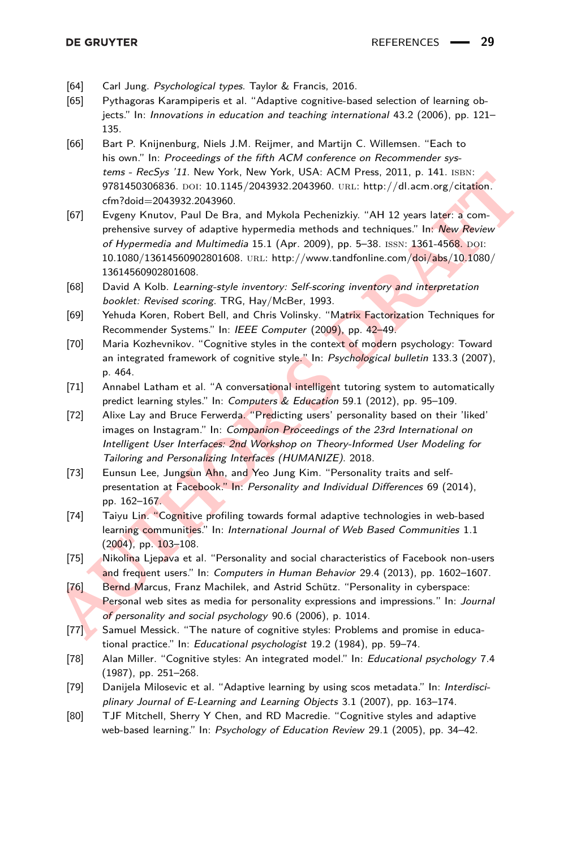- <span id="page-28-5"></span>[64] Carl Jung. Psychological types. Taylor & Francis, 2016.
- <span id="page-28-12"></span>[65] Pythagoras Karampiperis et al. "Adaptive cognitive-based selection of learning objects." In: Innovations in education and teaching international 43.2 (2006), pp. 121– 135.
- <span id="page-28-16"></span>[66] Bart P. Knijnenburg, Niels J.M. Reijmer, and Martijn C. Willemsen. "Each to his own." In: Proceedings of the fifth ACM conference on Recommender systems - RecSys '11. New York, New York, USA: ACM Press, 2011, p. 141. ISBN: 9781450306836. DOI: [10.1145/2043932.2043960.](http://dx.doi.org/10.1145/2043932.2043960) URL: http://dl.acm.org/citation. [cfm?doid=2043932.2043960.](http://dl.acm.org/citation.cfm?doid=2043932.2043960)
- <span id="page-28-15"></span><span id="page-28-14"></span><span id="page-28-13"></span><span id="page-28-11"></span><span id="page-28-10"></span><span id="page-28-9"></span><span id="page-28-8"></span><span id="page-28-7"></span><span id="page-28-6"></span><span id="page-28-4"></span><span id="page-28-3"></span><span id="page-28-2"></span><span id="page-28-1"></span><span id="page-28-0"></span>**EVEN[T](http://dl.acm.org/citation.cfm?doid=2043932.2043960)S - TreeSpy 21. INNEW YORK, INCRET USES, 2011, P. 141. ISBN 2008332.2043960. Until the principal among jointalism.<br>
<b>AUTHORY 1978 12.** The main of the state of the state of the state of the state of the state of the [67] Evgeny Knutov, Paul De Bra, and Mykola Pechenizkiy. "AH 12 years later: a comprehensive survey of adaptive hypermedia methods and techniques." In: New Review of Hypermedia and Multimedia  $15.1$  (Apr. 2009), pp. 5-38. ISSN:  $1361-4568$ . DOI: [10.1080/13614560902801608.](http://dx.doi.org/10.1080/13614560902801608) url: [http://www.tandfonline.com/doi/abs/10.1080/](http://www.tandfonline.com/doi/abs/10.1080/13614560902801608) [13614560902801608.](http://www.tandfonline.com/doi/abs/10.1080/13614560902801608)
	- [68] David A Kolb. Learning-style inventory: Self-scoring inventory and interpretation booklet: Revised scoring. TRG, Hay/McBer, 1993.
	- [69] Yehuda Koren, Robert Bell, and Chris Volinsky. "Matrix Factorization Techniques for Recommender Systems." In: IEEE Computer (2009), pp. 42–49.
	- [70] Maria Kozhevnikov. "Cognitive styles in the context of modern psychology: Toward an integrated framework of cognitive style." In: Psychological bulletin 133.3 (2007), p. 464.
	- [71] Annabel Latham et al. "A conversational intelligent tutoring system to automatically predict learning styles." In: Computers & Education 59.1 (2012), pp. 95–109.
	- [72] Alixe Lay and Bruce Ferwerda. "Predicting users' personality based on their 'liked' images on Instagram." In: Companion Proceedings of the 23rd International on Intelligent User Interfaces: 2nd Workshop on Theory-Informed User Modeling for Tailoring and Personalizing Interfaces (HUMANIZE). 2018.
	- [73] Eunsun Lee, Jungsun Ahn, and Yeo Jung Kim. "Personality traits and selfpresentation at Facebook." In: Personality and Individual Differences 69 (2014), pp. 162–167.
	- [74] Taiyu Lin. "Cognitive profiling towards formal adaptive technologies in web-based learning communities." In: International Journal of Web Based Communities 1.1 (2004), pp. 103–108.
	- [75] Nikolina Ljepava et al. "Personality and social characteristics of Facebook non-users and frequent users." In: Computers in Human Behavior 29.4 (2013), pp. 1602–1607.
	- [76] Bernd Marcus, Franz Machilek, and Astrid Schütz. "Personality in cyberspace: Personal web sites as media for personality expressions and impressions." In: Journal of personality and social psychology 90.6 (2006), p. 1014.
	- [77] Samuel Messick. "The nature of cognitive styles: Problems and promise in educational practice." In: Educational psychologist 19.2 (1984), pp. 59–74.
	- [78] Alan Miller. "Cognitive styles: An integrated model." In: Educational psychology 7.4 (1987), pp. 251–268.
	- [79] Danijela Milosevic et al. "Adaptive learning by using scos metadata." In: Interdisciplinary Journal of E-Learning and Learning Objects 3.1 (2007), pp. 163–174.
	- [80] TJF Mitchell, Sherry Y Chen, and RD Macredie. "Cognitive styles and adaptive web-based learning." In: Psychology of Education Review 29.1 (2005), pp. 34–42.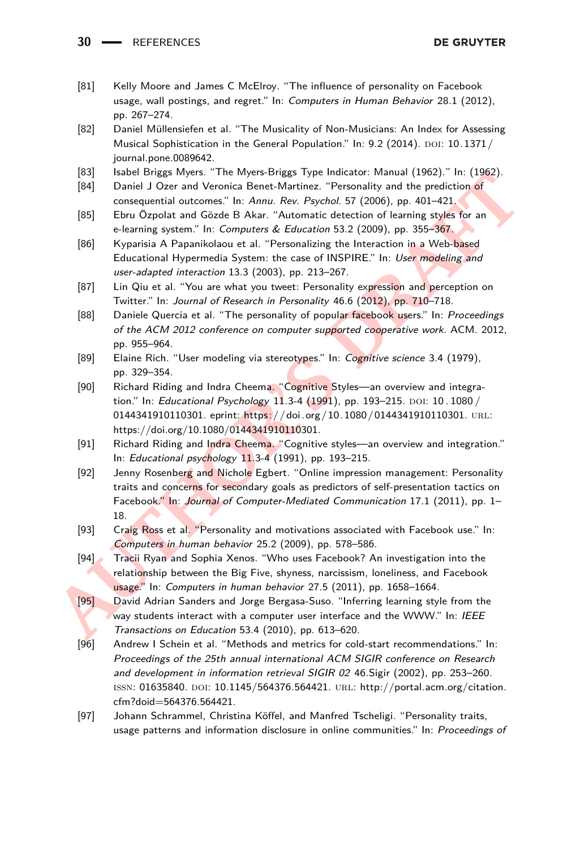**30** REFERENCES

- <span id="page-29-6"></span>[81] Kelly Moore and James C McElroy. "The influence of personality on Facebook usage, wall postings, and regret." In: Computers in Human Behavior 28.1 (2012), pp. 267–274.
- <span id="page-29-4"></span>[82] Daniel Müllensiefen et al. "The Musicality of Non-Musicians: An Index for Assessing Musical Sophistication in the General Population." In: 9.2 (2014). DOI: [10.1371/](http://dx.doi.org/10.1371/journal.pone.0089642) [journal.pone.0089642.](http://dx.doi.org/10.1371/journal.pone.0089642)
- <span id="page-29-3"></span>[83] Isabel Briggs Myers. "The Myers-Briggs Type Indicator: Manual (1962)." In: (1962).
- <span id="page-29-1"></span>[84] Daniel J Ozer and Veronica Benet-Martinez. "Personality and the prediction of consequential outcomes." In: Annu. Rev. Psychol. 57 (2006), pp. 401–421.
- <span id="page-29-13"></span>[85] Ebru Özpolat and Gözde B Akar. "Automatic detection of learning styles for an e-learning system." In: Computers & Education 53.2 (2009), pp. 355-367.
- <span id="page-29-15"></span>[86] Kyparisia A Papanikolaou et al. "Personalizing the Interaction in a Web-based Educational Hypermedia System: the case of INSPIRE." In: User modeling and user-adapted interaction 13.3 (2003), pp. 213–267.
- <span id="page-29-10"></span>[87] Lin Qiu et al. "You are what you tweet: Personality expression and perception on Twitter." In: Journal of Research in Personality 46.6 (2012), pp. 710–718.
- <span id="page-29-9"></span>[88] Daniele Quercia et al. "The personality of popular facebook users." In: Proceedings of the ACM 2012 conference on computer supported cooperative work. ACM. 2012, pp. 955–964.
- <span id="page-29-0"></span>[89] Elaine Rich. "User modeling via stereotypes." In: Cognitive science 3.4 (1979), pp. 329–354.
- <span id="page-29-2"></span>[90] Richard Riding and Indra Cheema. "Cognitive Styles—an overview and integration." In: Educational Psychology 11.3-4 (1991), pp. 193-215. DOI: 10.1080 / 0144341910110301. eprint: [https://doi.org/10.1080/0144341910110301.](https://doi.org/10.1080/0144341910110301) URL: https://doi.org/10.1080/0144341910110301.
- <span id="page-29-16"></span><span id="page-29-14"></span><span id="page-29-12"></span><span id="page-29-11"></span><span id="page-29-8"></span><span id="page-29-7"></span><span id="page-29-5"></span>[91] Richard Riding and Indra Cheema. "Cognitive styles—an overview and integration." In: Educational psychology 11.3-4 (1991), pp. 193–215.
- **AUT[OR](https://doi.org/10.1080/0144341910110301)** Based Ponga Winst. The Winderships of permiclator. Windle Tower Street The Translation of Team (194) Daniel J Ozer and Veronica Benet-Martinez. "Personality and the prediction of Computers (BSI) Ebru Ozpolat and Gö [92] Jenny Rosenberg and Nichole Egbert. "Online impression management: Personality traits and concerns for secondary goals as predictors of self-presentation tactics on Facebook." In: Journal of Computer-Mediated Communication 17.1 (2011), pp. 1– 18.
	- [93] Craig Ross et al. "Personality and motivations associated with Facebook use." In: Computers in human behavior 25.2 (2009), pp. 578–586.
	- [94] Tracii Ryan and Sophia Xenos. "Who uses Facebook? An investigation into the relationship between the Big Five, shyness, narcissism, loneliness, and Facebook usage." In: Computers in human behavior 27.5 (2011), pp. 1658–1664.
	- [95] David Adrian Sanders and Jorge Bergasa-Suso. "Inferring learning style from the way students interact with a computer user interface and the WWW." In: IEEE Transactions on Education 53.4 (2010), pp. 613–620.
	- [96] Andrew I Schein et al. "Methods and metrics for cold-start recommendations." In: Proceedings of the 25th annual international ACM SIGIR conference on Research and development in information retrieval SIGIR 02 46.Sigir (2002), pp. 253–260. ISSN: 01635840. DOI: [10.1145/564376.564421.](http://dx.doi.org/10.1145/564376.564421) URL: [http://portal.acm.org/citation.](http://portal.acm.org/citation.cfm?doid=564376.564421) [cfm?doid=564376.564421.](http://portal.acm.org/citation.cfm?doid=564376.564421)
	- [97] Johann Schrammel, Christina Köffel, and Manfred Tscheligi. "Personality traits, usage patterns and information disclosure in online communities." In: Proceedings of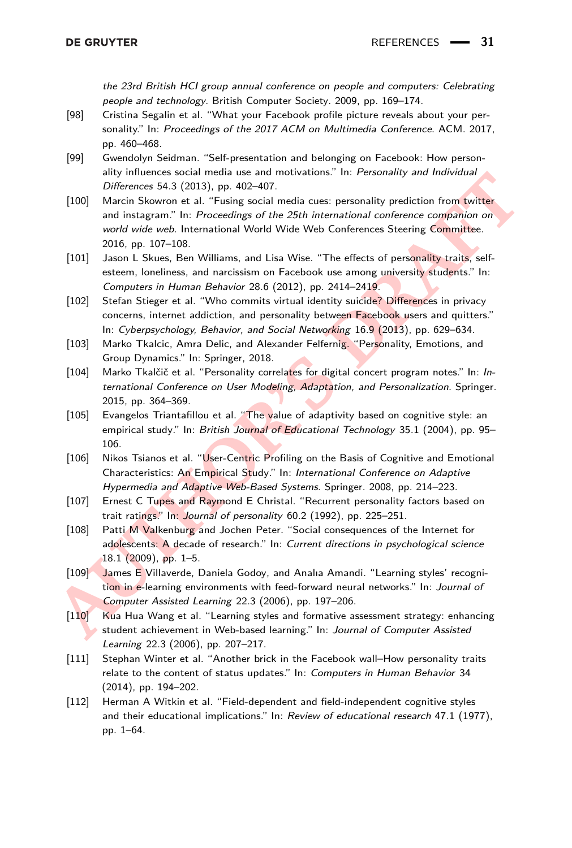the 23rd British HCI group annual conference on people and computers: Celebrating people and technology. British Computer Society. 2009, pp. 169–174.

- <span id="page-30-8"></span>[98] Cristina Segalin et al. "What your Facebook profile picture reveals about your personality." In: Proceedings of the 2017 ACM on Multimedia Conference. ACM. 2017, pp. 460–468.
- <span id="page-30-2"></span>[99] Gwendolyn Seidman. "Self-presentation and belonging on Facebook: How personality influences social media use and motivations." In: Personality and Individual Differences 54.3 (2013), pp. 402–407.
- <span id="page-30-14"></span><span id="page-30-13"></span><span id="page-30-12"></span><span id="page-30-11"></span><span id="page-30-10"></span><span id="page-30-9"></span><span id="page-30-7"></span><span id="page-30-6"></span><span id="page-30-5"></span><span id="page-30-4"></span><span id="page-30-3"></span><span id="page-30-1"></span><span id="page-30-0"></span>**Examplemental Society Theory (2018)**<br> *AUTHOR EXECT THEORY (Mattern Societies SA. 2(2013), pp. 402-407.<br>
ADO) March Skowson et al. "Fusing social media cuse: personality prediction from twitter<br>
and instagram." In: Procee* [100] Marcin Skowron et al. "Fusing social media cues: personality prediction from twitter and instagram." In: Proceedings of the 25th international conference companion on world wide web. International World Wide Web Conferences Steering Committee. 2016, pp. 107–108.
	- [101] Jason L Skues, Ben Williams, and Lisa Wise. "The effects of personality traits, selfesteem, loneliness, and narcissism on Facebook use among university students." In: Computers in Human Behavior 28.6 (2012), pp. 2414–2419.
	- [102] Stefan Stieger et al. "Who commits virtual identity suicide? Differences in privacy concerns, internet addiction, and personality between Facebook users and quitters." In: Cyberpsychology, Behavior, and Social Networking 16.9 (2013), pp. 629–634.
	- [103] Marko Tkalcic, Amra Delic, and Alexander Felfernig. "Personality, Emotions, and Group Dynamics." In: Springer, 2018.
	- [104] Marko Tkalčič et al. "Personality correlates for digital concert program notes." In: International Conference on User Modeling, Adaptation, and Personalization. Springer. 2015, pp. 364–369.
	- [105] Evangelos Triantafillou et al. "The value of adaptivity based on cognitive style: an empirical study." In: British Journal of Educational Technology 35.1 (2004), pp. 95-106.
	- [106] Nikos Tsianos et al. "User-Centric Profiling on the Basis of Cognitive and Emotional Characteristics: An Empirical Study." In: International Conference on Adaptive Hypermedia and Adaptive Web-Based Systems. Springer. 2008, pp. 214–223.
	- [107] Ernest C Tupes and Raymond E Christal. "Recurrent personality factors based on trait ratings." In: Journal of personality 60.2 (1992), pp. 225–251.
	- [108] Patti M Valkenburg and Jochen Peter. "Social consequences of the Internet for adolescents: A decade of research." In: Current directions in psychological science 18.1 (2009), pp. 1–5.
	- [109] James E Villaverde, Daniela Godoy, and Analıa Amandi. "Learning styles' recognition in e-learning environments with feed-forward neural networks." In: Journal of Computer Assisted Learning 22.3 (2006), pp. 197–206.
	- [110] Kua Hua Wang et al. "Learning styles and formative assessment strategy: enhancing student achievement in Web-based learning." In: Journal of Computer Assisted Learning 22.3 (2006), pp. 207–217.
	- [111] Stephan Winter et al. "Another brick in the Facebook wall–How personality traits relate to the content of status updates." In: Computers in Human Behavior 34 (2014), pp. 194–202.
	- [112] Herman A Witkin et al. "Field-dependent and field-independent cognitive styles and their educational implications." In: Review of educational research 47.1 (1977), pp. 1–64.